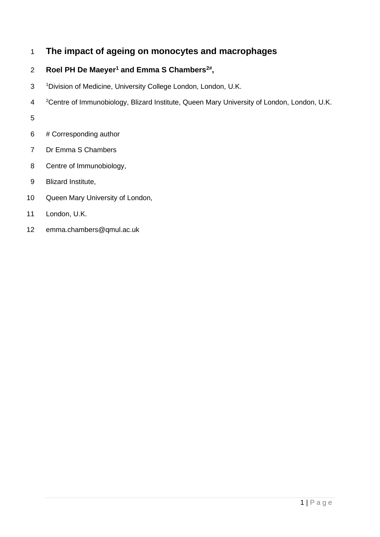# **The impact of ageing on monocytes and macrophages**

# 2 Roel PH De Maeyer<sup>1</sup> and Emma S Chambers<sup>2#</sup>,

- Division of Medicine, University College London, London, U.K.
- <sup>2</sup>Centre of Immunobiology, Blizard Institute, Queen Mary University of London, London, U.K.

- # Corresponding author
- Dr Emma S Chambers
- Centre of Immunobiology,
- Blizard Institute,
- Queen Mary University of London,
- London, U.K.
- emma.chambers@qmul.ac.uk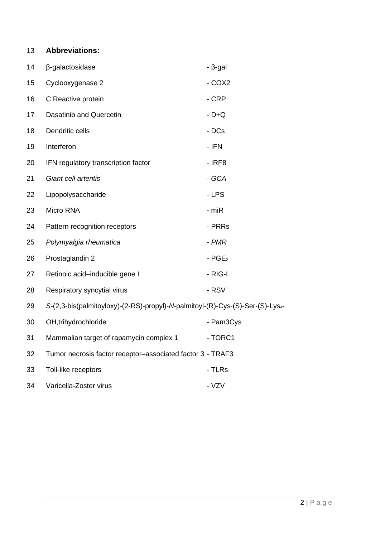# **Abbreviations:**

| 14 | β-galactosidase                                                               | $- \beta$ -gal       |
|----|-------------------------------------------------------------------------------|----------------------|
| 15 | Cyclooxygenase 2                                                              | $-COX2$              |
| 16 | C Reactive protein                                                            | - CRP                |
| 17 | Dasatinib and Quercetin                                                       | $-D+Q$               |
| 18 | Dendritic cells                                                               | - DCs                |
| 19 | Interferon                                                                    | - IFN                |
| 20 | IFN regulatory transcription factor                                           | $-$ IRF8             |
| 21 | Giant cell arteritis                                                          | - GCA                |
| 22 | Lipopolysaccharide                                                            | - LPS                |
| 23 | Micro RNA                                                                     | - miR                |
| 24 | Pattern recognition receptors                                                 | - PRRs               |
| 25 | Polymyalgia rheumatica                                                        | - PMR                |
| 26 | Prostaglandin 2                                                               | $-$ PGE <sub>2</sub> |
| 27 | Retinoic acid-inducible gene I                                                | - RIG-I              |
| 28 | Respiratory syncytial virus                                                   | - RSV                |
| 29 | S-(2,3-bis(palmitoyloxy)-(2-RS)-propyl)-N-palmitoyl-(R)-Cys-(S)-Ser-(S)-Lys4- |                      |
| 30 | OH, trihydrochloride                                                          | - Pam3Cys            |
| 31 | Mammalian target of rapamycin complex 1                                       | - TORC1              |
| 32 | Tumor necrosis factor receptor-associated factor 3 - TRAF3                    |                      |
| 33 | Toll-like receptors                                                           | - TLRs               |
| 34 | Varicella-Zoster virus                                                        | - VZV                |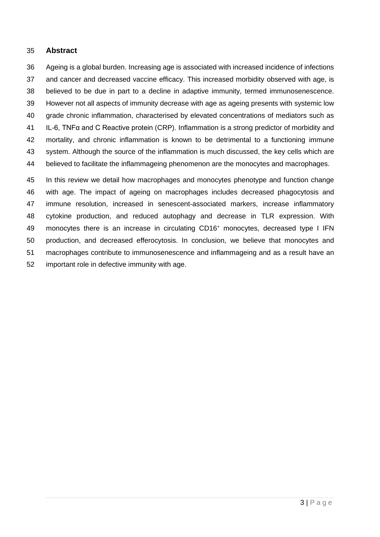# **Abstract**

 Ageing is a global burden. Increasing age is associated with increased incidence of infections and cancer and decreased vaccine efficacy. This increased morbidity observed with age, is believed to be due in part to a decline in adaptive immunity, termed immunosenescence. However not all aspects of immunity decrease with age as ageing presents with systemic low grade chronic inflammation, characterised by elevated concentrations of mediators such as IL-6, TNFα and C Reactive protein (CRP). Inflammation is a strong predictor of morbidity and mortality, and chronic inflammation is known to be detrimental to a functioning immune system. Although the source of the inflammation is much discussed, the key cells which are believed to facilitate the inflammageing phenomenon are the monocytes and macrophages. In this review we detail how macrophages and monocytes phenotype and function change

 with age. The impact of ageing on macrophages includes decreased phagocytosis and immune resolution, increased in senescent-associated markers, increase inflammatory cytokine production, and reduced autophagy and decrease in TLR expression. With 49 monocytes there is an increase in circulating CD16<sup>+</sup> monocytes, decreased type I IFN production, and decreased efferocytosis. In conclusion, we believe that monocytes and macrophages contribute to immunosenescence and inflammageing and as a result have an important role in defective immunity with age.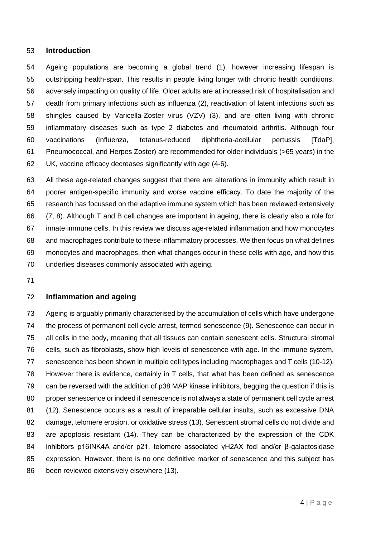#### **Introduction**

 Ageing populations are becoming a global trend [\(1\)](#page-19-0), however increasing lifespan is outstripping health-span. This results in people living longer with chronic health conditions, adversely impacting on quality of life. Older adults are at increased risk of hospitalisation and death from primary infections such as influenza [\(2\)](#page-19-1), reactivation of latent infections such as shingles caused by Varicella-Zoster virus (VZV) [\(3\)](#page-19-2), and are often living with chronic inflammatory diseases such as type 2 diabetes and rheumatoid arthritis. Although four vaccinations (Influenza, tetanus-reduced diphtheria-acellular pertussis [TdaP], Pneumococcal, and Herpes Zoster) are recommended for older individuals (>65 years) in the UK, vaccine efficacy decreases significantly with age [\(4-6\)](#page-19-3).

 All these age-related changes suggest that there are alterations in immunity which result in poorer antigen-specific immunity and worse vaccine efficacy. To date the majority of the research has focussed on the adaptive immune system which has been reviewed extensively [\(7,](#page-19-4) [8\)](#page-19-5). Although T and B cell changes are important in ageing, there is clearly also a role for innate immune cells. In this review we discuss age-related inflammation and how monocytes and macrophages contribute to these inflammatory processes. We then focus on what defines monocytes and macrophages, then what changes occur in these cells with age, and how this underlies diseases commonly associated with ageing.

# **Inflammation and ageing**

 Ageing is arguably primarily characterised by the accumulation of cells which have undergone the process of permanent cell cycle arrest, termed senescence [\(9\)](#page-19-6). Senescence can occur in all cells in the body, meaning that all tissues can contain senescent cells. Structural stromal cells, such as fibroblasts, show high levels of senescence with age. In the immune system, senescence has been shown in multiple cell types including macrophages and T cells [\(10-12\)](#page-19-7). However there is evidence, certainly in T cells, that what has been defined as senescence can be reversed with the addition of p38 MAP kinase inhibitors, begging the question if this is proper senescence or indeed if senescence is not always a state of permanent cell cycle arrest [\(12\)](#page-19-8). Senescence occurs as a result of irreparable cellular insults, such as excessive DNA damage, telomere erosion, or oxidative stress [\(13\)](#page-19-9). Senescent stromal cells do not divide and are apoptosis resistant [\(14\)](#page-19-10). They can be characterized by the expression of the CDK inhibitors p16INK4A and/or p21, telomere associated γH2AX foci and/or β-galactosidase expression. However, there is no one definitive marker of senescence and this subject has been reviewed extensively elsewhere [\(13\)](#page-19-9).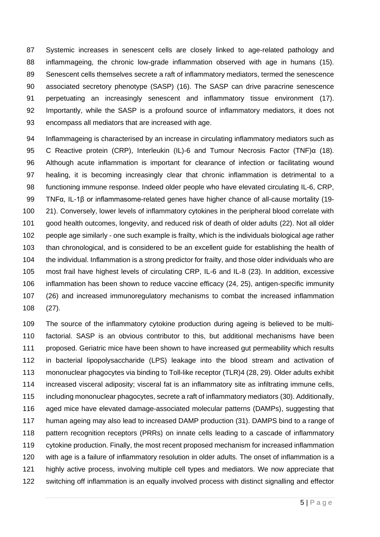Systemic increases in senescent cells are closely linked to age-related pathology and inflammageing, the chronic low-grade inflammation observed with age in humans [\(15\)](#page-20-0). Senescent cells themselves secrete a raft of inflammatory mediators, termed the senescence associated secretory phenotype (SASP) [\(16\)](#page-20-1). The SASP can drive paracrine senescence perpetuating an increasingly senescent and inflammatory tissue environment [\(17\)](#page-20-2). Importantly, while the SASP is a profound source of inflammatory mediators, it does not encompass all mediators that are increased with age.

 Inflammageing is characterised by an increase in circulating inflammatory mediators such as C Reactive protein (CRP), Interleukin (IL)-6 and Tumour Necrosis Factor (TNF)α [\(18\)](#page-20-3). Although acute inflammation is important for clearance of infection or facilitating wound healing, it is becoming increasingly clear that chronic inflammation is detrimental to a functioning immune response. Indeed older people who have elevated circulating IL-6, CRP, TNFα, IL-1β or inflammasome-related genes have higher chance of all-cause mortality [\(19-](#page-20-4) [21\)](#page-20-4). Conversely, lower levels of inflammatory cytokines in the peripheral blood correlate with good health outcomes, longevity, and reduced risk of death of older adults [\(22\)](#page-20-5). Not all older people age similarly - one such example is frailty, which is the individuals biological age rather than chronological, and is considered to be an excellent guide for establishing the health of the individual. Inflammation is a strong predictor for frailty, and those older individuals who are most frail have highest levels of circulating CRP, IL-6 and IL-8 [\(23\)](#page-20-6). In addition, excessive inflammation has been shown to reduce vaccine efficacy [\(24,](#page-20-7) [25\)](#page-20-8), antigen-specific immunity [\(26\)](#page-20-9) and increased immunoregulatory mechanisms to combat the increased inflammation [\(27\)](#page-21-0).

 The source of the inflammatory cytokine production during ageing is believed to be multi- factorial. SASP is an obvious contributor to this, but additional mechanisms have been proposed. Geriatric mice have been shown to have increased gut permeability which results in bacterial lipopolysaccharide (LPS) leakage into the blood stream and activation of mononuclear phagocytes via binding to Toll-like receptor (TLR)4 [\(28,](#page-21-1) [29\)](#page-21-2). Older adults exhibit increased visceral adiposity; visceral fat is an inflammatory site as infiltrating immune cells, including mononuclear phagocytes, secrete a raft of inflammatory mediators [\(30\)](#page-21-3). Additionally, aged mice have elevated damage-associated molecular patterns (DAMPs), suggesting that human ageing may also lead to increased DAMP production [\(31\)](#page-21-4). DAMPS bind to a range of 118 pattern recognition receptors (PRRs) on innate cells leading to a cascade of inflammatory cytokine production. Finally, the most recent proposed mechanism for increased inflammation with age is a failure of inflammatory resolution in older adults. The onset of inflammation is a highly active process, involving multiple cell types and mediators. We now appreciate that switching off inflammation is an equally involved process with distinct signalling and effector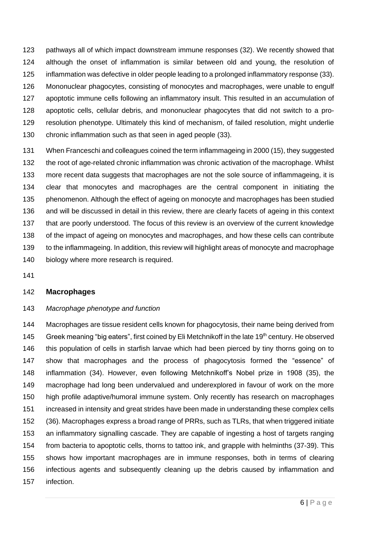pathways all of which impact downstream immune responses [\(32\)](#page-21-5). We recently showed that although the onset of inflammation is similar between old and young, the resolution of inflammation was defective in older people leading to a prolonged inflammatory response [\(33\)](#page-21-6). Mononuclear phagocytes, consisting of monocytes and macrophages, were unable to engulf apoptotic immune cells following an inflammatory insult. This resulted in an accumulation of apoptotic cells, cellular debris, and mononuclear phagocytes that did not switch to a pro- resolution phenotype. Ultimately this kind of mechanism, of failed resolution, might underlie chronic inflammation such as that seen in aged people [\(33\)](#page-21-6).

 When Franceschi and colleagues coined the term inflammageing in 2000 [\(15\)](#page-20-0), they suggested the root of age-related chronic inflammation was chronic activation of the macrophage. Whilst more recent data suggests that macrophages are not the sole source of inflammageing, it is clear that monocytes and macrophages are the central component in initiating the phenomenon. Although the effect of ageing on monocyte and macrophages has been studied and will be discussed in detail in this review, there are clearly facets of ageing in this context that are poorly understood. The focus of this review is an overview of the current knowledge of the impact of ageing on monocytes and macrophages, and how these cells can contribute to the inflammageing. In addition, this review will highlight areas of monocyte and macrophage 140 biology where more research is required.

# **Macrophages**

#### *Macrophage phenotype and function*

 Macrophages are tissue resident cells known for phagocytosis, their name being derived from 145 Greek meaning "big eaters", first coined by Eli Metchnikoff in the late 19<sup>th</sup> century. He observed this population of cells in starfish larvae which had been pierced by tiny thorns going on to show that macrophages and the process of phagocytosis formed the "essence" of inflammation [\(34\)](#page-21-7). However, even following Metchnikoff's Nobel prize in 1908 [\(35\)](#page-21-8), the macrophage had long been undervalued and underexplored in favour of work on the more high profile adaptive/humoral immune system. Only recently has research on macrophages increased in intensity and great strides have been made in understanding these complex cells [\(36\)](#page-21-9). Macrophages express a broad range of PRRs, such as TLRs, that when triggered initiate an inflammatory signalling cascade. They are capable of ingesting a host of targets ranging from bacteria to apoptotic cells, thorns to tattoo ink, and grapple with helminths [\(37-39\)](#page-21-10). This shows how important macrophages are in immune responses, both in terms of clearing infectious agents and subsequently cleaning up the debris caused by inflammation and infection.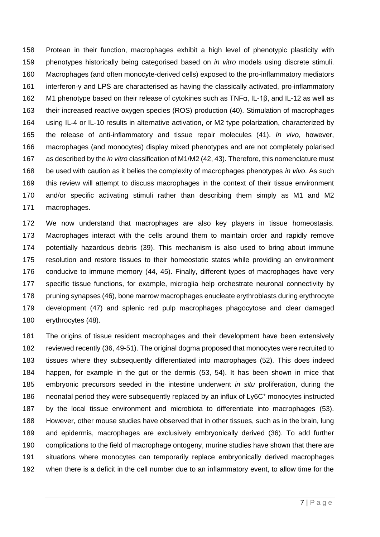Protean in their function, macrophages exhibit a high level of phenotypic plasticity with phenotypes historically being categorised based on *in vitro* models using discrete stimuli. Macrophages (and often monocyte-derived cells) exposed to the pro-inflammatory mediators interferon-γ and LPS are characterised as having the classically activated, pro-inflammatory M1 phenotype based on their release of cytokines such as TNFα, IL-1β, and IL-12 as well as their increased reactive oxygen species (ROS) production [\(40\)](#page-21-11). Stimulation of macrophages using IL-4 or IL-10 results in alternative activation, or M2 type polarization, characterized by the release of anti-inflammatory and tissue repair molecules [\(41\)](#page-21-12). *In vivo*, however, macrophages (and monocytes) display mixed phenotypes and are not completely polarised as described by the *in vitro* classification of M1/M2 [\(42,](#page-22-0) [43\)](#page-22-1). Therefore, this nomenclature must be used with caution as it belies the complexity of macrophages phenotypes *in vivo*. As such this review will attempt to discuss macrophages in the context of their tissue environment and/or specific activating stimuli rather than describing them simply as M1 and M2 macrophages.

 We now understand that macrophages are also key players in tissue homeostasis. Macrophages interact with the cells around them to maintain order and rapidly remove potentially hazardous debris [\(39\)](#page-21-13). This mechanism is also used to bring about immune resolution and restore tissues to their homeostatic states while providing an environment conducive to immune memory [\(44,](#page-22-2) [45\)](#page-22-3). Finally, different types of macrophages have very specific tissue functions, for example, microglia help orchestrate neuronal connectivity by 178 pruning synapses [\(46\)](#page-22-4), bone marrow macrophages enucleate erythroblasts during erythrocyte development [\(47\)](#page-22-5) and splenic red pulp macrophages phagocytose and clear damaged erythrocytes [\(48\)](#page-22-6).

 The origins of tissue resident macrophages and their development have been extensively reviewed recently [\(36,](#page-21-9) [49-51\)](#page-22-7). The original dogma proposed that monocytes were recruited to tissues where they subsequently differentiated into macrophages [\(52\)](#page-22-8). This does indeed happen, for example in the gut or the dermis [\(53,](#page-22-9) [54\)](#page-22-10). It has been shown in mice that embryonic precursors seeded in the intestine underwent *in situ* proliferation, during the 186 neonatal period they were subsequently replaced by an influx of  $Ly6C<sup>+</sup>$  monocytes instructed by the local tissue environment and microbiota to differentiate into macrophages [\(53\)](#page-22-9). However, other mouse studies have observed that in other tissues, such as in the brain, lung and epidermis, macrophages are exclusively embryonically derived [\(36\)](#page-21-9). To add further complications to the field of macrophage ontogeny, murine studies have shown that there are situations where monocytes can temporarily replace embryonically derived macrophages when there is a deficit in the cell number due to an inflammatory event, to allow time for the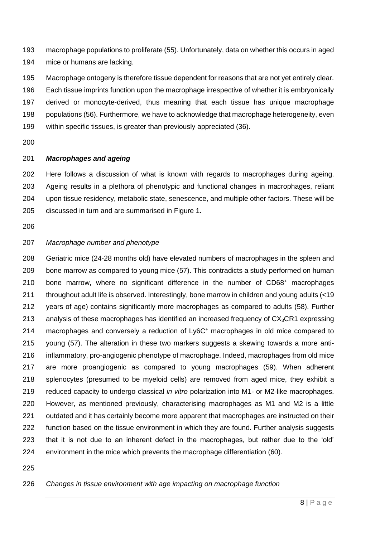macrophage populations to proliferate [\(55\)](#page-22-11). Unfortunately, data on whether this occurs in aged mice or humans are lacking.

 Macrophage ontogeny is therefore tissue dependent for reasons that are not yet entirely clear. Each tissue imprints function upon the macrophage irrespective of whether it is embryonically derived or monocyte-derived, thus meaning that each tissue has unique macrophage populations [\(56\)](#page-23-0). Furthermore, we have to acknowledge that macrophage heterogeneity, even within specific tissues, is greater than previously appreciated [\(36\)](#page-21-9).

# *Macrophages and ageing*

 Here follows a discussion of what is known with regards to macrophages during ageing. Ageing results in a plethora of phenotypic and functional changes in macrophages, reliant upon tissue residency, metabolic state, senescence, and multiple other factors. These will be discussed in turn and are summarised in Figure 1.

# *Macrophage number and phenotype*

 Geriatric mice (24-28 months old) have elevated numbers of macrophages in the spleen and bone marrow as compared to young mice [\(57\)](#page-23-1). This contradicts a study performed on human 210 bone marrow, where no significant difference in the number of  $CD68<sup>+</sup>$  macrophages throughout adult life is observed. Interestingly, bone marrow in children and young adults (<19 years of age) contains significantly more macrophages as compared to adults [\(58\)](#page-23-2). Further 213 analysis of these macrophages has identified an increased frequency of  $CX<sub>3</sub>CR1$  expressing macrophages and conversely a reduction of Ly6C<sup>+</sup> macrophages in old mice compared to young [\(57\)](#page-23-1). The alteration in these two markers suggests a skewing towards a more anti- inflammatory, pro-angiogenic phenotype of macrophage. Indeed, macrophages from old mice are more proangiogenic as compared to young macrophages [\(59\)](#page-23-3). When adherent splenocytes (presumed to be myeloid cells) are removed from aged mice, they exhibit a reduced capacity to undergo classical *in vitro* polarization into M1- or M2-like macrophages. However, as mentioned previously, characterising macrophages as M1 and M2 is a little 221 outdated and it has certainly become more apparent that macrophages are instructed on their 222 function based on the tissue environment in which they are found. Further analysis suggests that it is not due to an inherent defect in the macrophages, but rather due to the 'old' environment in the mice which prevents the macrophage differentiation [\(60\)](#page-23-4).

*Changes in tissue environment with age impacting on macrophage function*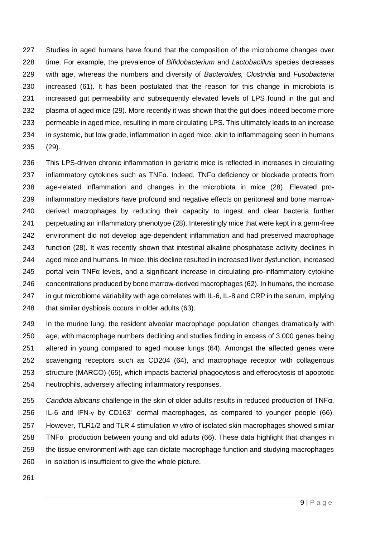Studies in aged humans have found that the composition of the microbiome changes over time. For example, the prevalence of *Bifidobacterium* and *Lactobacillus* species decreases with age, whereas the numbers and diversity of *Bacteroides, Clostridia* and *Fusobacteria* increased [\(61\)](#page-23-5). It has been postulated that the reason for this change in microbiota is increased gut permeability and subsequently elevated levels of LPS found in the gut and 232 plasma of aged mice [\(29\)](#page-21-2). More recently it was shown that the gut does indeed become more permeable in aged mice, resulting in more circulating LPS. This ultimately leads to an increase in systemic, but low grade, inflammation in aged mice, akin to inflammageing seen in humans [\(29\)](#page-21-2).

 This LPS-driven chronic inflammation in geriatric mice is reflected in increases in circulating 237 inflammatory cytokines such as  $TNF\alpha$ . Indeed,  $TNF\alpha$  deficiency or blockade protects from age-related inflammation and changes in the microbiota in mice [\(28\)](#page-21-1). Elevated pro- inflammatory mediators have profound and negative effects on peritoneal and bone marrow- derived macrophages by reducing their capacity to ingest and clear bacteria further perpetuating an inflammatory phenotype [\(28\)](#page-21-1). Interestingly mice that were kept in a germ-free environment did not develop age-dependent inflammation and had preserved macrophage function [\(28\)](#page-21-1). It was recently shown that intestinal alkaline phosphatase activity declines in aged mice and humans. In mice, this decline resulted in increased liver dysfunction, increased portal vein TNFα levels, and a significant increase in circulating pro-inflammatory cytokine concentrations produced by bone marrow-derived macrophages [\(62\)](#page-23-6). In humans, the increase 247 in gut microbiome variability with age correlates with IL-6, IL-8 and CRP in the serum, implying that similar dysbiosis occurs in older adults [\(63\)](#page-23-7).

 In the murine lung, the resident alveolar macrophage population changes dramatically with age, with macrophage numbers declining and studies finding in excess of 3,000 genes being altered in young compared to aged mouse lungs [\(64\)](#page-23-8). Amongst the affected genes were scavenging receptors such as CD204 [\(64\)](#page-23-8), and macrophage receptor with collagenous structure (MARCO) [\(65\)](#page-23-9), which impacts bacterial phagocytosis and efferocytosis of apoptotic neutrophils, adversely affecting inflammatory responses.

 *Candida albicans* challenge in the skin of older adults results in reduced production of TNFα, 256 IL-6 and IFN- $\gamma$  by CD163<sup>+</sup> dermal macrophages, as compared to younger people [\(66\)](#page-23-10). However, TLR1/2 and TLR 4 stimulation *in vitro* of isolated skin macrophages showed similar TNFα production between young and old adults [\(66\)](#page-23-10). These data highlight that changes in the tissue environment with age can dictate macrophage function and studying macrophages in isolation is insufficient to give the whole picture.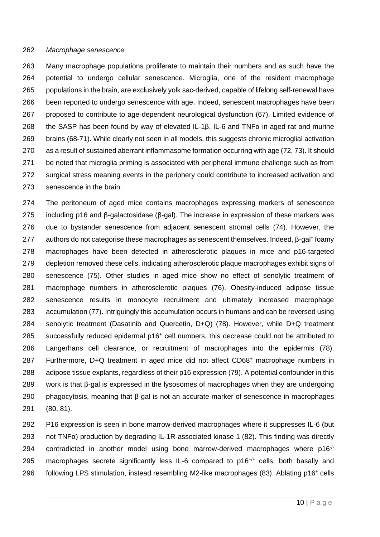#### *Macrophage senescence*

 Many macrophage populations proliferate to maintain their numbers and as such have the potential to undergo cellular senescence. Microglia, one of the resident macrophage populations in the brain, are exclusively yolk sac-derived, capable of lifelong self-renewal have been reported to undergo senescence with age. Indeed, senescent macrophages have been proposed to contribute to age-dependent neurological dysfunction [\(67\)](#page-23-11). Limited evidence of 268 the SASP has been found by way of elevated IL-1 $\beta$ , IL-6 and TNF $\alpha$  in aged rat and murine brains [\(68-71\)](#page-24-0). While clearly not seen in all models, this suggests chronic microglial activation as a result of sustained aberrant inflammasome formation occurring with age [\(72,](#page-24-1) [73\)](#page-24-2). It should be noted that microglia priming is associated with peripheral immune challenge such as from surgical stress meaning events in the periphery could contribute to increased activation and senescence in the brain.

 The peritoneum of aged mice contains macrophages expressing markers of senescence including p16 and β-galactosidase (β-gal). The increase in expression of these markers was due to bystander senescence from adjacent senescent stromal cells [\(74\)](#page-24-3). However, the authors do not categorise these macrophages as senescent themselves. Indeed,  $β$ -gal<sup>+</sup> foamy macrophages have been detected in atherosclerotic plaques in mice and p16-targeted depletion removed these cells, indicating atherosclerotic plaque macrophages exhibit signs of senescence [\(75\)](#page-24-4). Other studies in aged mice show no effect of senolytic treatment of macrophage numbers in atherosclerotic plaques [\(76\)](#page-24-5). Obesity-induced adipose tissue senescence results in monocyte recruitment and ultimately increased macrophage accumulation [\(77\)](#page-24-6). Intriguingly this accumulation occurs in humans and can be reversed using senolytic treatment (Dasatinib and Quercetin, D+Q) [\(78\)](#page-24-7). However, while D+Q treatment 285 successfully reduced epidermal p16<sup>+</sup> cell numbers, this decrease could not be attributed to Langerhans cell clearance, or recruitment of macrophages into the epidermis [\(78\)](#page-24-7). 287 Furthermore, D+Q treatment in aged mice did not affect  $CD68<sup>+</sup>$  macrophage numbers in adipose tissue explants, regardless of their p16 expression [\(79\)](#page-24-8). A potential confounder in this work is that β-gal is expressed in the lysosomes of macrophages when they are undergoing phagocytosis, meaning that β-gal is not an accurate marker of senescence in macrophages [\(80,](#page-25-0) [81\)](#page-25-1).

 P16 expression is seen in bone marrow-derived macrophages where it suppresses IL-6 (but not TNFα) production by degrading IL-1R-associated kinase 1 [\(82\)](#page-25-2). This finding was directly 294 contradicted in another model using bone marrow-derived macrophages where  $p16<sup>-/-</sup>$ 295 macrophages secrete significantly less IL-6 compared to  $p16^{+/+}$  cells, both basally and following LPS stimulation, instead resembling M2-like macrophages [\(83\)](#page-25-3). Ablating p16<sup>+</sup> cells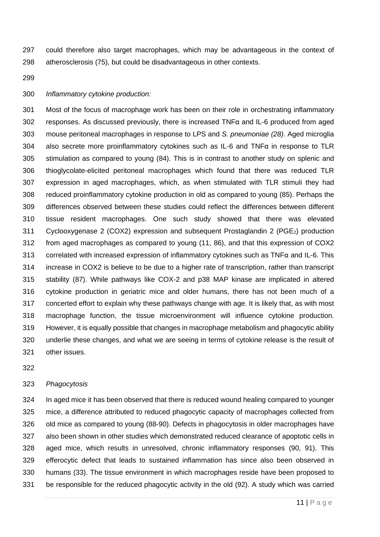could therefore also target macrophages, which may be advantageous in the context of atherosclerosis [\(75\)](#page-24-4), but could be disadvantageous in other contexts.

#### *Inflammatory cytokine production:*

 Most of the focus of macrophage work has been on their role in orchestrating inflammatory responses. As discussed previously, there is increased TNFα and IL-6 produced from aged mouse peritoneal macrophages in response to LPS and *S. pneumoniae [\(28\)](#page-21-1)*. Aged microglia also secrete more proinflammatory cytokines such as IL-6 and TNFα in response to TLR stimulation as compared to young [\(84\)](#page-25-4). This is in contrast to another study on splenic and thioglycolate-elicited peritoneal macrophages which found that there was reduced TLR expression in aged macrophages, which, as when stimulated with TLR stimuli they had reduced proinflammatory cytokine production in old as compared to young [\(85\)](#page-25-5). Perhaps the differences observed between these studies could reflect the differences between different tissue resident macrophages. One such study showed that there was elevated Cyclooxygenase 2 (COX2) expression and subsequent Prostaglandin 2 (PGE2) production from aged macrophages as compared to young [\(11,](#page-19-11) [86\)](#page-25-6), and that this expression of COX2 correlated with increased expression of inflammatory cytokines such as TNFα and IL-6. This increase in COX2 is believe to be due to a higher rate of transcription, rather than transcript stability [\(87\)](#page-25-7). While pathways like COX-2 and p38 MAP kinase are implicated in altered cytokine production in geriatric mice and older humans, there has not been much of a concerted effort to explain why these pathways change with age. It is likely that, as with most macrophage function, the tissue microenvironment will influence cytokine production. However, it is equally possible that changes in macrophage metabolism and phagocytic ability underlie these changes, and what we are seeing in terms of cytokine release is the result of other issues.

#### *Phagocytosis*

 In aged mice it has been observed that there is reduced wound healing compared to younger mice, a difference attributed to reduced phagocytic capacity of macrophages collected from old mice as compared to young [\(88-90\)](#page-25-8). Defects in phagocytosis in older macrophages have also been shown in other studies which demonstrated reduced clearance of apoptotic cells in aged mice, which results in unresolved, chronic inflammatory responses [\(90,](#page-25-9) [91\)](#page-25-10). This efferocytic defect that leads to sustained inflammation has since also been observed in humans [\(33\)](#page-21-6). The tissue environment in which macrophages reside have been proposed to be responsible for the reduced phagocytic activity in the old [\(92\)](#page-26-0). A study which was carried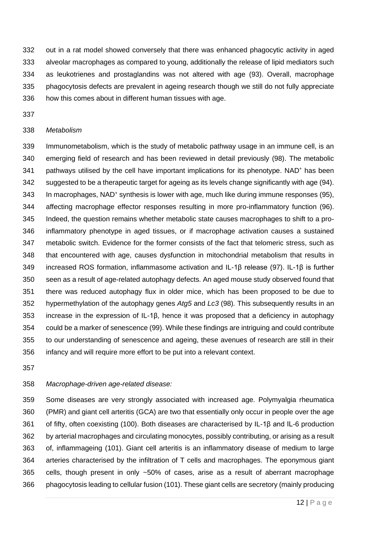out in a rat model showed conversely that there was enhanced phagocytic activity in aged alveolar macrophages as compared to young, additionally the release of lipid mediators such as leukotrienes and prostaglandins was not altered with age [\(93\)](#page-26-1). Overall, macrophage phagocytosis defects are prevalent in ageing research though we still do not fully appreciate how this comes about in different human tissues with age.

#### *Metabolism*

 Immunometabolism, which is the study of metabolic pathway usage in an immune cell, is an emerging field of research and has been reviewed in detail previously (98). The metabolic 341 pathways utilised by the cell have important implications for its phenotype. NAD<sup>+</sup> has been suggested to be a therapeutic target for ageing as its levels change significantly with age [\(94\)](#page-26-2). 343 In macrophages, NAD<sup>+</sup> synthesis is lower with age, much like during immune responses [\(95\)](#page-26-3), affecting macrophage effector responses resulting in more pro-inflammatory function [\(96\)](#page-26-4). Indeed, the question remains whether metabolic state causes macrophages to shift to a pro- inflammatory phenotype in aged tissues, or if macrophage activation causes a sustained metabolic switch. Evidence for the former consists of the fact that telomeric stress, such as that encountered with age, causes dysfunction in mitochondrial metabolism that results in increased ROS formation, inflammasome activation and IL-1β release [\(97\)](#page-26-5). IL-1β is further seen as a result of age-related autophagy defects. An aged mouse study observed found that there was reduced autophagy flux in older mice, which has been proposed to be due to hypermethylation of the autophagy genes *Atg5* and *Lc3* [\(98\)](#page-26-6)*.* This subsequently results in an increase in the expression of IL-1β, hence it was proposed that a deficiency in autophagy could be a marker of senescence [\(99\)](#page-26-7). While these findings are intriguing and could contribute to our understanding of senescence and ageing, these avenues of research are still in their infancy and will require more effort to be put into a relevant context.

## *Macrophage-driven age-related disease:*

 Some diseases are very strongly associated with increased age. Polymyalgia rheumatica (PMR) and giant cell arteritis (GCA) are two that essentially only occur in people over the age of fifty, often coexisting [\(100\)](#page-26-8). Both diseases are characterised by IL-1β and IL-6 production by arterial macrophages and circulating monocytes, possibly contributing, or arising as a result of, inflammageing [\(101\)](#page-26-9). Giant cell arteritis is an inflammatory disease of medium to large arteries characterised by the infiltration of T cells and macrophages. The eponymous giant cells, though present in only ~50% of cases, arise as a result of aberrant macrophage phagocytosis leading to cellular fusion [\(101\)](#page-26-9). These giant cells are secretory (mainly producing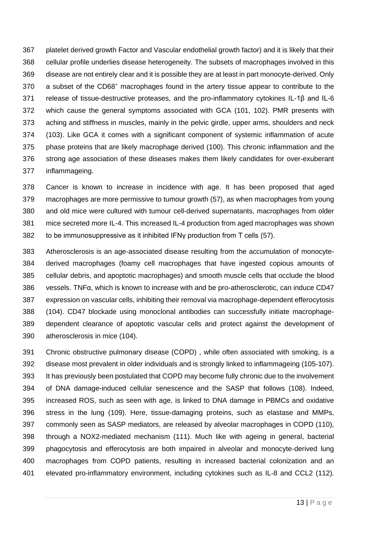platelet derived growth Factor and Vascular endothelial growth factor) and it is likely that their cellular profile underlies disease heterogeneity. The subsets of macrophages involved in this disease are not entirely clear and it is possible they are at least in part monocyte-derived. Only 370 a subset of the CD68<sup>+</sup> macrophages found in the artery tissue appear to contribute to the release of tissue-destructive proteases, and the pro-inflammatory cytokines IL-1β and IL-6 which cause the general symptoms associated with GCA [\(101,](#page-26-9) [102\)](#page-26-10). PMR presents with aching and stiffness in muscles, mainly in the pelvic girdle, upper arms, shoulders and neck [\(103\)](#page-26-11). Like GCA it comes with a significant component of systemic inflammation of acute phase proteins that are likely macrophage derived [\(100\)](#page-26-8). This chronic inflammation and the strong age association of these diseases makes them likely candidates for over-exuberant inflammageing.

 Cancer is known to increase in incidence with age. It has been proposed that aged macrophages are more permissive to tumour growth [\(57\)](#page-23-1), as when macrophages from young and old mice were cultured with tumour cell-derived supernatants, macrophages from older mice secreted more IL-4. This increased IL-4 production from aged macrophages was shown 382 to be immunosuppressive as it inhibited IFNy production from T cells [\(57\)](#page-23-1).

 Atherosclerosis is an age-associated disease resulting from the accumulation of monocyte- derived macrophages (foamy cell macrophages that have ingested copious amounts of cellular debris, and apoptotic macrophages) and smooth muscle cells that occlude the blood vessels. TNFα, which is known to increase with and be pro-atherosclerotic, can induce CD47 expression on vascular cells, inhibiting their removal via macrophage-dependent efferocytosis [\(104\)](#page-26-12). CD47 blockade using monoclonal antibodies can successfully initiate macrophage- dependent clearance of apoptotic vascular cells and protect against the development of atherosclerosis in mice [\(104\)](#page-26-12).

 Chronic obstructive pulmonary disease (COPD) , while often associated with smoking, is a disease most prevalent in older individuals and is strongly linked to inflammageing [\(105-107\)](#page-27-0). It has previously been postulated that COPD may become fully chronic due to the involvement of DNA damage-induced cellular senescence and the SASP that follows [\(108\)](#page-27-1). Indeed, increased ROS, such as seen with age, is linked to DNA damage in PBMCs and oxidative stress in the lung [\(109\)](#page-27-2). Here, tissue-damaging proteins, such as elastase and MMPs, commonly seen as SASP mediators, are released by alveolar macrophages in COPD [\(110\)](#page-27-3), through a NOX2-mediated mechanism [\(111\)](#page-27-4). Much like with ageing in general, bacterial phagocytosis and efferocytosis are both impaired in alveolar and monocyte-derived lung macrophages from COPD patients, resulting in increased bacterial colonization and an elevated pro-inflammatory environment, including cytokines such as IL-8 and CCL2 [\(112\)](#page-27-5).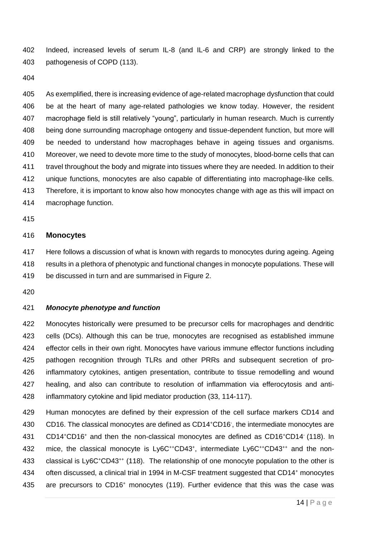Indeed, increased levels of serum IL-8 (and IL-6 and CRP) are strongly linked to the pathogenesis of COPD [\(113\)](#page-27-6).

 As exemplified, there is increasing evidence of age-related macrophage dysfunction that could be at the heart of many age-related pathologies we know today. However, the resident macrophage field is still relatively "young", particularly in human research. Much is currently being done surrounding macrophage ontogeny and tissue-dependent function, but more will be needed to understand how macrophages behave in ageing tissues and organisms. Moreover, we need to devote more time to the study of monocytes, blood-borne cells that can travel throughout the body and migrate into tissues where they are needed. In addition to their unique functions, monocytes are also capable of differentiating into macrophage-like cells. Therefore, it is important to know also how monocytes change with age as this will impact on macrophage function.

#### **Monocytes**

 Here follows a discussion of what is known with regards to monocytes during ageing. Ageing results in a plethora of phenotypic and functional changes in monocyte populations. These will be discussed in turn and are summarised in Figure 2.

#### *Monocyte phenotype and function*

 Monocytes historically were presumed to be precursor cells for macrophages and dendritic cells (DCs). Although this can be true, monocytes are recognised as established immune effector cells in their own right. Monocytes have various immune effector functions including pathogen recognition through TLRs and other PRRs and subsequent secretion of pro- inflammatory cytokines, antigen presentation, contribute to tissue remodelling and wound healing, and also can contribute to resolution of inflammation via efferocytosis and anti-inflammatory cytokine and lipid mediator production [\(33,](#page-21-6) [114-117\)](#page-27-7).

 Human monocytes are defined by their expression of the cell surface markers CD14 and 430 CD16. The classical monocytes are defined as CD14<sup>+</sup>CD16, the intermediate monocytes are 431 CD14<sup>+</sup>CD16<sup>+</sup> and then the non-classical monocytes are defined as CD16<sup>+</sup>CD14<sup>-</sup> [\(118\)](#page-28-0). In 432 mice, the classical monocyte is Ly6C<sup>++</sup>CD43<sup>+</sup>, intermediate Ly6C<sup>++</sup>CD43<sup>++</sup> and the non-433 classical is Ly6C<sup>+</sup>CD43<sup>++</sup> [\(118\)](#page-28-0). The relationship of one monocyte population to the other is 434 often discussed, a clinical trial in 1994 in M-CSF treatment suggested that CD14<sup>+</sup> monocytes 435 are precursors to CD16<sup>+</sup> monocytes [\(119\)](#page-28-1). Further evidence that this was the case was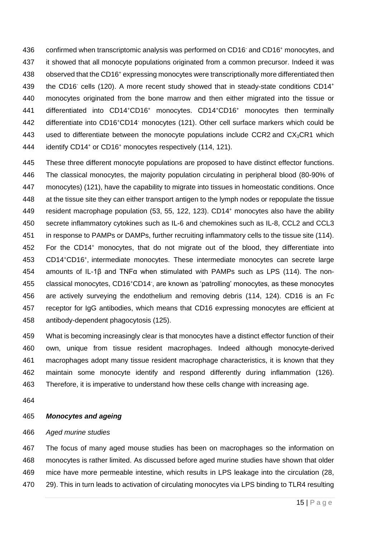436 confirmed when transcriptomic analysis was performed on CD16<sup>-</sup> and CD16<sup>+</sup> monocytes, and it showed that all monocyte populations originated from a common precursor. Indeed it was 438 observed that the CD16<sup>+</sup> expressing monocytes were transcriptionally more differentiated then 439 the CD16<sup>-</sup> cells [\(120\)](#page-28-2). A more recent study showed that in steady-state conditions CD14<sup>+</sup> monocytes originated from the bone marrow and then either migrated into the tissue or 441 differentiated into CD14<sup>+</sup>CD16<sup>+</sup> monocytes. CD14<sup>+</sup>CD16<sup>+</sup> monocytes then terminally 442 differentiate into CD16+CD14 monocytes [\(121\)](#page-28-3). Other cell surface markers which could be 443 used to differentiate between the monocyte populations include CCR2 and  $CX<sub>3</sub>CR1$  which 444 identify CD14<sup>+</sup> or CD16<sup>+</sup> monocytes respectively [\(114,](#page-27-7) [121\)](#page-28-3).

 These three different monocyte populations are proposed to have distinct effector functions. The classical monocytes, the majority population circulating in peripheral blood (80-90% of monocytes) [\(121\)](#page-28-3), have the capability to migrate into tissues in homeostatic conditions. Once at the tissue site they can either transport antigen to the lymph nodes or repopulate the tissue 449 resident macrophage population [\(53,](#page-22-9) [55,](#page-22-11) [122,](#page-28-4) [123\)](#page-28-5). CD14<sup>+</sup> monocytes also have the ability secrete inflammatory cytokines such as IL-6 and chemokines such as IL-8, CCL2 and CCL3 in response to PAMPs or DAMPs, further recruiting inflammatory cells to the tissue site [\(114\)](#page-27-7). 452 For the CD14<sup>+</sup> monocytes, that do not migrate out of the blood, they differentiate into 453 CD14+CD16+, intermediate monocytes. These intermediate monocytes can secrete large amounts of IL-1β and TNFα when stimulated with PAMPs such as LPS [\(114\)](#page-27-7). The non-455 classical monocytes, CD16<sup>+</sup>CD14<sup>-</sup>, are known as 'patrolling' monocytes, as these monocytes are actively surveying the endothelium and removing debris [\(114,](#page-27-7) [124\)](#page-28-6). CD16 is an Fc receptor for IgG antibodies, which means that CD16 expressing monocytes are efficient at antibody-dependent phagocytosis [\(125\)](#page-28-7).

 What is becoming increasingly clear is that monocytes have a distinct effector function of their own, unique from tissue resident macrophages. Indeed although monocyte-derived macrophages adopt many tissue resident macrophage characteristics, it is known that they maintain some monocyte identify and respond differently during inflammation [\(126\)](#page-28-8). Therefore, it is imperative to understand how these cells change with increasing age.

# *Monocytes and ageing*

## *Aged murine studies*

 The focus of many aged mouse studies has been on macrophages so the information on monocytes is rather limited. As discussed before aged murine studies have shown that older mice have more permeable intestine, which results in LPS leakage into the circulation [\(28,](#page-21-1) [29\)](#page-21-2). This in turn leads to activation of circulating monocytes via LPS binding to TLR4 resulting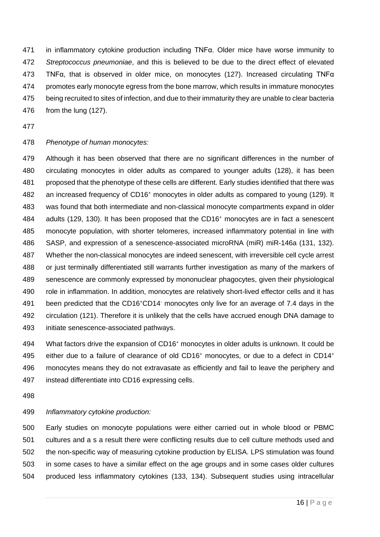in inflammatory cytokine production including TNFα. Older mice have worse immunity to *Streptococcus pneumoniae*, and this is believed to be due to the direct effect of elevated TNFα, that is observed in older mice, on monocytes [\(127\)](#page-28-9). Increased circulating TNFα promotes early monocyte egress from the bone marrow, which results in immature monocytes being recruited to sites of infection, and due to their immaturity they are unable to clear bacteria from the lung [\(127\)](#page-28-9).

# *Phenotype of human monocytes:*

 Although it has been observed that there are no significant differences in the number of circulating monocytes in older adults as compared to younger adults [\(128\)](#page-28-10), it has been proposed that the phenotype of these cells are different. Early studies identified that there was 482 an increased frequency of CD16<sup>+</sup> monocytes in older adults as compared to young [\(129\)](#page-28-11). It was found that both intermediate and non-classical monocyte compartments expand in older  $\alpha$  adults [\(129,](#page-28-11) [130\)](#page-28-12). It has been proposed that the CD16<sup>+</sup> monocytes are in fact a senescent monocyte population, with shorter telomeres, increased inflammatory potential in line with SASP, and expression of a senescence-associated microRNA (miR) miR-146a [\(131,](#page-29-0) [132\)](#page-29-1). Whether the non-classical monocytes are indeed senescent, with irreversible cell cycle arrest or just terminally differentiated still warrants further investigation as many of the markers of senescence are commonly expressed by mononuclear phagocytes, given their physiological role in inflammation. In addition, monocytes are relatively short-lived effector cells and it has 491 been predicted that the CD16<sup>+</sup>CD14 monocytes only live for an average of 7.4 days in the circulation [\(121\)](#page-28-3). Therefore it is unlikely that the cells have accrued enough DNA damage to initiate senescence-associated pathways.

494 What factors drive the expansion of CD16<sup>+</sup> monocytes in older adults is unknown. It could be 495 either due to a failure of clearance of old CD16<sup>+</sup> monocytes, or due to a defect in CD14<sup>+</sup> monocytes means they do not extravasate as efficiently and fail to leave the periphery and instead differentiate into CD16 expressing cells.

#### *Inflammatory cytokine production:*

 Early studies on monocyte populations were either carried out in whole blood or PBMC cultures and a s a result there were conflicting results due to cell culture methods used and the non-specific way of measuring cytokine production by ELISA. LPS stimulation was found in some cases to have a similar effect on the age groups and in some cases older cultures produced less inflammatory cytokines [\(133,](#page-29-2) [134\)](#page-29-3). Subsequent studies using intracellular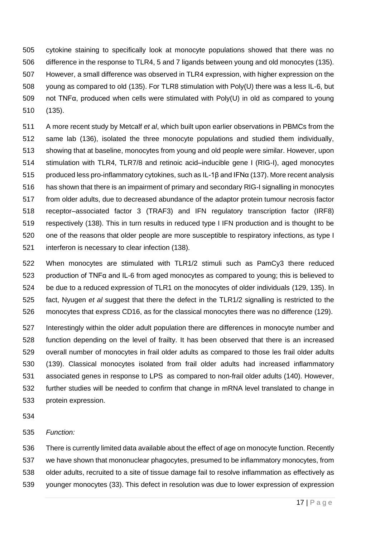cytokine staining to specifically look at monocyte populations showed that there was no difference in the response to TLR4, 5 and 7 ligands between young and old monocytes [\(135\)](#page-29-4). However, a small difference was observed in TLR4 expression, with higher expression on the young as compared to old [\(135\)](#page-29-4). For TLR8 stimulation with Poly(U) there was a less IL-6, but not TNFα, produced when cells were stimulated with Poly(U) in old as compared to young [\(135\)](#page-29-4).

 A more recent study by Metcalf *et al*, which built upon earlier observations in PBMCs from the same lab [\(136\)](#page-29-5), isolated the three monocyte populations and studied them individually, showing that at baseline, monocytes from young and old people were similar. However, upon stimulation with TLR4, TLR7/8 and retinoic acid–inducible gene I (RIG-I), aged monocytes produced less pro-inflammatory cytokines, such as IL-1β and IFNα [\(137\)](#page-29-6). More recent analysis has shown that there is an impairment of primary and secondary RIG-I signalling in monocytes from older adults, due to decreased abundance of the adaptor protein tumour necrosis factor receptor–associated factor 3 (TRAF3) and IFN regulatory transcription factor (IRF8) respectively [\(138\)](#page-29-7). This in turn results in reduced type I IFN production and is thought to be one of the reasons that older people are more susceptible to respiratory infections, as type I interferon is necessary to clear infection [\(138\)](#page-29-7).

 When monocytes are stimulated with TLR1/2 stimuli such as PamCy3 there reduced production of TNFα and IL-6 from aged monocytes as compared to young; this is believed to be due to a reduced expression of TLR1 on the monocytes of older individuals [\(129,](#page-28-11) [135\)](#page-29-4). In fact, Nyugen *et al* suggest that there the defect in the TLR1/2 signalling is restricted to the monocytes that express CD16, as for the classical monocytes there was no difference [\(129\)](#page-28-11).

 Interestingly within the older adult population there are differences in monocyte number and function depending on the level of frailty. It has been observed that there is an increased overall number of monocytes in frail older adults as compared to those les frail older adults [\(139\)](#page-29-8). Classical monocytes isolated from frail older adults had increased inflammatory associated genes in response to LPS as compared to non-frail older adults [\(140\)](#page-29-9). However, further studies will be needed to confirm that change in mRNA level translated to change in protein expression.

# *Function:*

 There is currently limited data available about the effect of age on monocyte function. Recently we have shown that mononuclear phagocytes, presumed to be inflammatory monocytes, from older adults, recruited to a site of tissue damage fail to resolve inflammation as effectively as younger monocytes [\(33\)](#page-21-6). This defect in resolution was due to lower expression of expression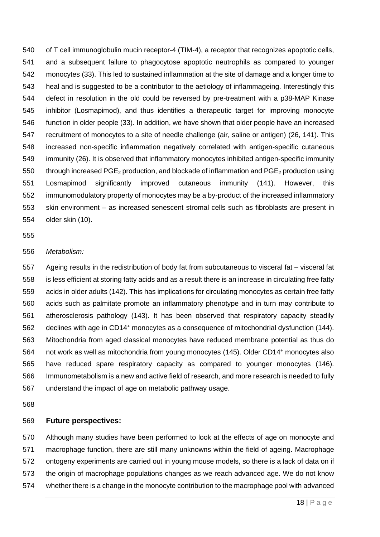of T cell immunoglobulin mucin receptor-4 (TIM-4), a receptor that recognizes apoptotic cells, and a subsequent failure to phagocytose apoptotic neutrophils as compared to younger monocytes [\(33\)](#page-21-6). This led to sustained inflammation at the site of damage and a longer time to heal and is suggested to be a contributor to the aetiology of inflammageing. Interestingly this defect in resolution in the old could be reversed by pre-treatment with a p38-MAP Kinase inhibitor (Losmapimod), and thus identifies a therapeutic target for improving monocyte function in older people [\(33\)](#page-21-6). In addition, we have shown that older people have an increased recruitment of monocytes to a site of needle challenge (air, saline or antigen) [\(26,](#page-20-9) [141\)](#page-29-10). This increased non-specific inflammation negatively correlated with antigen-specific cutaneous immunity [\(26\)](#page-20-9). It is observed that inflammatory monocytes inhibited antigen-specific immunity 550 through increased  $PGE_2$  production, and blockade of inflammation and  $PGE_2$  production using Losmapimod significantly improved cutaneous immunity [\(141\)](#page-29-10). However, this immunomodulatory property of monocytes may be a by-product of the increased inflammatory skin environment – as increased senescent stromal cells such as fibroblasts are present in older skin [\(10\)](#page-19-7).

#### 

#### *Metabolism:*

 Ageing results in the redistribution of body fat from subcutaneous to visceral fat – visceral fat is less efficient at storing fatty acids and as a result there is an increase in circulating free fatty acids in older adults [\(142\)](#page-29-11). This has implications for circulating monocytes as certain free fatty acids such as palmitate promote an inflammatory phenotype and in turn may contribute to atherosclerosis pathology [\(143\)](#page-29-12). It has been observed that respiratory capacity steadily 562 declines with age in CD14<sup>+</sup> monocytes as a consequence of mitochondrial dysfunction [\(144\)](#page-30-0). Mitochondria from aged classical monocytes have reduced membrane potential as thus do 564 not work as well as mitochondria from young monocytes [\(145\)](#page-30-1). Older CD14<sup>+</sup> monocytes also have reduced spare respiratory capacity as compared to younger monocytes [\(146\)](#page-30-2). Immunometabolism is a new and active field of research, and more research is needed to fully understand the impact of age on metabolic pathway usage.

#### **Future perspectives:**

 Although many studies have been performed to look at the effects of age on monocyte and macrophage function, there are still many unknowns within the field of ageing. Macrophage ontogeny experiments are carried out in young mouse models, so there is a lack of data on if the origin of macrophage populations changes as we reach advanced age. We do not know whether there is a change in the monocyte contribution to the macrophage pool with advanced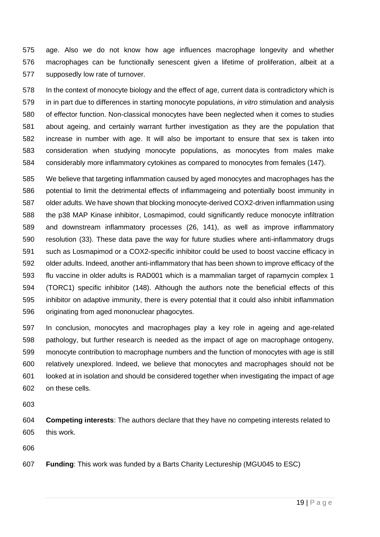age. Also we do not know how age influences macrophage longevity and whether macrophages can be functionally senescent given a lifetime of proliferation, albeit at a supposedly low rate of turnover.

 In the context of monocyte biology and the effect of age, current data is contradictory which is in in part due to differences in starting monocyte populations, *in vitro* stimulation and analysis of effector function. Non-classical monocytes have been neglected when it comes to studies about ageing, and certainly warrant further investigation as they are the population that increase in number with age. It will also be important to ensure that sex is taken into consideration when studying monocyte populations, as monocytes from males make considerably more inflammatory cytokines as compared to monocytes from females [\(147\)](#page-30-3).

 We believe that targeting inflammation caused by aged monocytes and macrophages has the potential to limit the detrimental effects of inflammageing and potentially boost immunity in older adults. We have shown that blocking monocyte-derived COX2-driven inflammation using the p38 MAP Kinase inhibitor, Losmapimod, could significantly reduce monocyte infiltration and downstream inflammatory processes [\(26,](#page-20-9) [141\)](#page-29-10), as well as improve inflammatory resolution [\(33\)](#page-21-6). These data pave the way for future studies where anti-inflammatory drugs such as Losmapimod or a COX2-specific inhibitor could be used to boost vaccine efficacy in older adults. Indeed, another anti-inflammatory that has been shown to improve efficacy of the flu vaccine in older adults is RAD001 which is a mammalian target of rapamycin complex 1 (TORC1) specific inhibitor [\(148\)](#page-30-4). Although the authors note the beneficial effects of this inhibitor on adaptive immunity, there is every potential that it could also inhibit inflammation originating from aged mononuclear phagocytes.

 In conclusion, monocytes and macrophages play a key role in ageing and age-related pathology, but further research is needed as the impact of age on macrophage ontogeny, monocyte contribution to macrophage numbers and the function of monocytes with age is still relatively unexplored. Indeed, we believe that monocytes and macrophages should not be looked at in isolation and should be considered together when investigating the impact of age on these cells.

 **Competing interests**: The authors declare that they have no competing interests related to this work.

**Funding**: This work was funded by a Barts Charity Lectureship (MGU045 to ESC)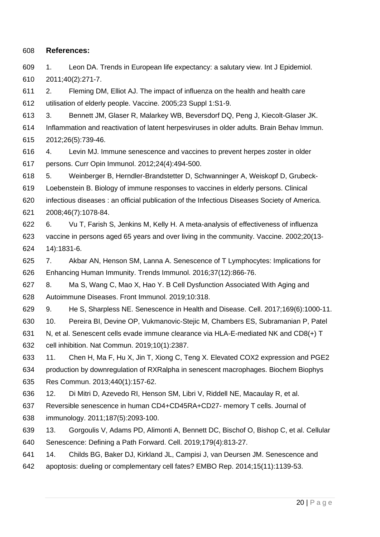## **References:**

<span id="page-19-0"></span> 1. Leon DA. Trends in European life expectancy: a salutary view. Int J Epidemiol. 2011;40(2):271-7.

<span id="page-19-1"></span> 2. Fleming DM, Elliot AJ. The impact of influenza on the health and health care utilisation of elderly people. Vaccine. 2005;23 Suppl 1:S1-9.

<span id="page-19-2"></span> 3. Bennett JM, Glaser R, Malarkey WB, Beversdorf DQ, Peng J, Kiecolt-Glaser JK. Inflammation and reactivation of latent herpesviruses in older adults. Brain Behav Immun. 2012;26(5):739-46.

<span id="page-19-3"></span> 4. Levin MJ. Immune senescence and vaccines to prevent herpes zoster in older persons. Curr Opin Immunol. 2012;24(4):494-500.

5. Weinberger B, Herndler-Brandstetter D, Schwanninger A, Weiskopf D, Grubeck-

Loebenstein B. Biology of immune responses to vaccines in elderly persons. Clinical

- infectious diseases : an official publication of the Infectious Diseases Society of America. 2008;46(7):1078-84.
- 6. Vu T, Farish S, Jenkins M, Kelly H. A meta-analysis of effectiveness of influenza vaccine in persons aged 65 years and over living in the community. Vaccine. 2002;20(13- 14):1831-6.
- <span id="page-19-4"></span> 7. Akbar AN, Henson SM, Lanna A. Senescence of T Lymphocytes: Implications for Enhancing Human Immunity. Trends Immunol. 2016;37(12):866-76.
- <span id="page-19-5"></span> 8. Ma S, Wang C, Mao X, Hao Y. B Cell Dysfunction Associated With Aging and Autoimmune Diseases. Front Immunol. 2019;10:318.

<span id="page-19-6"></span>9. He S, Sharpless NE. Senescence in Health and Disease. Cell. 2017;169(6):1000-11.

<span id="page-19-7"></span>10. Pereira BI, Devine OP, Vukmanovic-Stejic M, Chambers ES, Subramanian P, Patel

- N, et al. Senescent cells evade immune clearance via HLA-E-mediated NK and CD8(+) T cell inhibition. Nat Commun. 2019;10(1):2387.
- <span id="page-19-11"></span> 11. Chen H, Ma F, Hu X, Jin T, Xiong C, Teng X. Elevated COX2 expression and PGE2 production by downregulation of RXRalpha in senescent macrophages. Biochem Biophys Res Commun. 2013;440(1):157-62.
- <span id="page-19-8"></span>12. Di Mitri D, Azevedo RI, Henson SM, Libri V, Riddell NE, Macaulay R, et al.
- Reversible senescence in human CD4+CD45RA+CD27- memory T cells. Journal of
- immunology. 2011;187(5):2093-100.
- <span id="page-19-9"></span> 13. Gorgoulis V, Adams PD, Alimonti A, Bennett DC, Bischof O, Bishop C, et al. Cellular Senescence: Defining a Path Forward. Cell. 2019;179(4):813-27.
- <span id="page-19-10"></span>14. Childs BG, Baker DJ, Kirkland JL, Campisi J, van Deursen JM. Senescence and
- apoptosis: dueling or complementary cell fates? EMBO Rep. 2014;15(11):1139-53.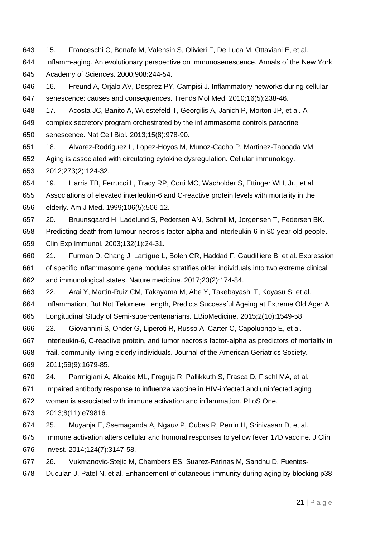- <span id="page-20-0"></span>15. Franceschi C, Bonafe M, Valensin S, Olivieri F, De Luca M, Ottaviani E, et al.
- Inflamm-aging. An evolutionary perspective on immunosenescence. Annals of the New York Academy of Sciences. 2000;908:244-54.
- <span id="page-20-1"></span> 16. Freund A, Orjalo AV, Desprez PY, Campisi J. Inflammatory networks during cellular senescence: causes and consequences. Trends Mol Med. 2010;16(5):238-46.
- <span id="page-20-2"></span> 17. Acosta JC, Banito A, Wuestefeld T, Georgilis A, Janich P, Morton JP, et al. A complex secretory program orchestrated by the inflammasome controls paracrine
- senescence. Nat Cell Biol. 2013;15(8):978-90.
- <span id="page-20-3"></span> 18. Alvarez-Rodriguez L, Lopez-Hoyos M, Munoz-Cacho P, Martinez-Taboada VM. Aging is associated with circulating cytokine dysregulation. Cellular immunology. 2012;273(2):124-32.
- <span id="page-20-4"></span> 19. Harris TB, Ferrucci L, Tracy RP, Corti MC, Wacholder S, Ettinger WH, Jr., et al. Associations of elevated interleukin-6 and C-reactive protein levels with mortality in the elderly. Am J Med. 1999;106(5):506-12.
- 20. Bruunsgaard H, Ladelund S, Pedersen AN, Schroll M, Jorgensen T, Pedersen BK.
- Predicting death from tumour necrosis factor-alpha and interleukin-6 in 80-year-old people. Clin Exp Immunol. 2003;132(1):24-31.
- 21. Furman D, Chang J, Lartigue L, Bolen CR, Haddad F, Gaudilliere B, et al. Expression of specific inflammasome gene modules stratifies older individuals into two extreme clinical and immunological states. Nature medicine. 2017;23(2):174-84.
- <span id="page-20-5"></span>22. Arai Y, Martin-Ruiz CM, Takayama M, Abe Y, Takebayashi T, Koyasu S, et al.
- Inflammation, But Not Telomere Length, Predicts Successful Ageing at Extreme Old Age: A
- Longitudinal Study of Semi-supercentenarians. EBioMedicine. 2015;2(10):1549-58.
- <span id="page-20-6"></span>23. Giovannini S, Onder G, Liperoti R, Russo A, Carter C, Capoluongo E, et al.
- Interleukin-6, C-reactive protein, and tumor necrosis factor-alpha as predictors of mortality in
- frail, community-living elderly individuals. Journal of the American Geriatrics Society.
- 2011;59(9):1679-85.
- <span id="page-20-7"></span>24. Parmigiani A, Alcaide ML, Freguja R, Pallikkuth S, Frasca D, Fischl MA, et al.
- Impaired antibody response to influenza vaccine in HIV-infected and uninfected aging
- women is associated with immune activation and inflammation. PLoS One.
- 2013;8(11):e79816.
- <span id="page-20-8"></span>25. Muyanja E, Ssemaganda A, Ngauv P, Cubas R, Perrin H, Srinivasan D, et al.
- Immune activation alters cellular and humoral responses to yellow fever 17D vaccine. J Clin
- Invest. 2014;124(7):3147-58.
- <span id="page-20-9"></span>26. Vukmanovic-Stejic M, Chambers ES, Suarez-Farinas M, Sandhu D, Fuentes-
- Duculan J, Patel N, et al. Enhancement of cutaneous immunity during aging by blocking p38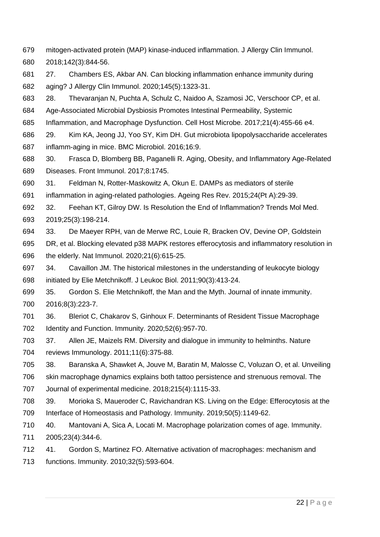- mitogen-activated protein (MAP) kinase-induced inflammation. J Allergy Clin Immunol. 2018;142(3):844-56.
- <span id="page-21-0"></span> 27. Chambers ES, Akbar AN. Can blocking inflammation enhance immunity during aging? J Allergy Clin Immunol. 2020;145(5):1323-31.
- <span id="page-21-1"></span>28. Thevaranjan N, Puchta A, Schulz C, Naidoo A, Szamosi JC, Verschoor CP, et al.
- Age-Associated Microbial Dysbiosis Promotes Intestinal Permeability, Systemic
- Inflammation, and Macrophage Dysfunction. Cell Host Microbe. 2017;21(4):455-66 e4.
- <span id="page-21-2"></span> 29. Kim KA, Jeong JJ, Yoo SY, Kim DH. Gut microbiota lipopolysaccharide accelerates inflamm-aging in mice. BMC Microbiol. 2016;16:9.
- <span id="page-21-3"></span> 30. Frasca D, Blomberg BB, Paganelli R. Aging, Obesity, and Inflammatory Age-Related Diseases. Front Immunol. 2017;8:1745.
- <span id="page-21-4"></span>31. Feldman N, Rotter-Maskowitz A, Okun E. DAMPs as mediators of sterile
- inflammation in aging-related pathologies. Ageing Res Rev. 2015;24(Pt A):29-39.
- <span id="page-21-5"></span> 32. Feehan KT, Gilroy DW. Is Resolution the End of Inflammation? Trends Mol Med. 2019;25(3):198-214.
- <span id="page-21-6"></span> 33. De Maeyer RPH, van de Merwe RC, Louie R, Bracken OV, Devine OP, Goldstein DR, et al. Blocking elevated p38 MAPK restores efferocytosis and inflammatory resolution in the elderly. Nat Immunol. 2020;21(6):615-25.
- <span id="page-21-7"></span> 34. Cavaillon JM. The historical milestones in the understanding of leukocyte biology initiated by Elie Metchnikoff. J Leukoc Biol. 2011;90(3):413-24.
- <span id="page-21-8"></span> 35. Gordon S. Elie Metchnikoff, the Man and the Myth. Journal of innate immunity. 2016;8(3):223-7.
- <span id="page-21-9"></span> 36. Bleriot C, Chakarov S, Ginhoux F. Determinants of Resident Tissue Macrophage Identity and Function. Immunity. 2020;52(6):957-70.
- <span id="page-21-10"></span> 37. Allen JE, Maizels RM. Diversity and dialogue in immunity to helminths. Nature reviews Immunology. 2011;11(6):375-88.
- 38. Baranska A, Shawket A, Jouve M, Baratin M, Malosse C, Voluzan O, et al. Unveiling
- skin macrophage dynamics explains both tattoo persistence and strenuous removal. The Journal of experimental medicine. 2018;215(4):1115-33.
- <span id="page-21-13"></span> 39. Morioka S, Maueroder C, Ravichandran KS. Living on the Edge: Efferocytosis at the Interface of Homeostasis and Pathology. Immunity. 2019;50(5):1149-62.
- <span id="page-21-11"></span> 40. Mantovani A, Sica A, Locati M. Macrophage polarization comes of age. Immunity. 2005;23(4):344-6.
- <span id="page-21-12"></span> 41. Gordon S, Martinez FO. Alternative activation of macrophages: mechanism and functions. Immunity. 2010;32(5):593-604.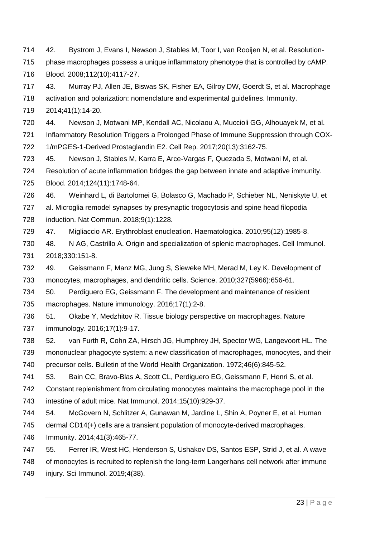- <span id="page-22-0"></span>42. Bystrom J, Evans I, Newson J, Stables M, Toor I, van Rooijen N, et al. Resolution-
- phase macrophages possess a unique inflammatory phenotype that is controlled by cAMP.
- Blood. 2008;112(10):4117-27.
- <span id="page-22-1"></span>43. Murray PJ, Allen JE, Biswas SK, Fisher EA, Gilroy DW, Goerdt S, et al. Macrophage
- activation and polarization: nomenclature and experimental guidelines. Immunity.
- 2014;41(1):14-20.
- <span id="page-22-2"></span>44. Newson J, Motwani MP, Kendall AC, Nicolaou A, Muccioli GG, Alhouayek M, et al.
- Inflammatory Resolution Triggers a Prolonged Phase of Immune Suppression through COX-
- 1/mPGES-1-Derived Prostaglandin E2. Cell Rep. 2017;20(13):3162-75.
- <span id="page-22-3"></span>45. Newson J, Stables M, Karra E, Arce-Vargas F, Quezada S, Motwani M, et al.
- Resolution of acute inflammation bridges the gap between innate and adaptive immunity. Blood. 2014;124(11):1748-64.
- <span id="page-22-4"></span> 46. Weinhard L, di Bartolomei G, Bolasco G, Machado P, Schieber NL, Neniskyte U, et al. Microglia remodel synapses by presynaptic trogocytosis and spine head filopodia induction. Nat Commun. 2018;9(1):1228.
- <span id="page-22-5"></span>47. Migliaccio AR. Erythroblast enucleation. Haematologica. 2010;95(12):1985-8.
- <span id="page-22-6"></span> 48. N AG, Castrillo A. Origin and specialization of splenic macrophages. Cell Immunol. 2018;330:151-8.
- <span id="page-22-7"></span>49. Geissmann F, Manz MG, Jung S, Sieweke MH, Merad M, Ley K. Development of
- monocytes, macrophages, and dendritic cells. Science. 2010;327(5966):656-61.
- 50. Perdiguero EG, Geissmann F. The development and maintenance of resident macrophages. Nature immunology. 2016;17(1):2-8.
- 51. Okabe Y, Medzhitov R. Tissue biology perspective on macrophages. Nature immunology. 2016;17(1):9-17.
- <span id="page-22-8"></span> 52. van Furth R, Cohn ZA, Hirsch JG, Humphrey JH, Spector WG, Langevoort HL. The mononuclear phagocyte system: a new classification of macrophages, monocytes, and their precursor cells. Bulletin of the World Health Organization. 1972;46(6):845-52.
- <span id="page-22-9"></span>53. Bain CC, Bravo-Blas A, Scott CL, Perdiguero EG, Geissmann F, Henri S, et al.
- Constant replenishment from circulating monocytes maintains the macrophage pool in the intestine of adult mice. Nat Immunol. 2014;15(10):929-37.
- <span id="page-22-10"></span>54. McGovern N, Schlitzer A, Gunawan M, Jardine L, Shin A, Poyner E, et al. Human
- dermal CD14(+) cells are a transient population of monocyte-derived macrophages.
- Immunity. 2014;41(3):465-77.
- <span id="page-22-11"></span> 55. Ferrer IR, West HC, Henderson S, Ushakov DS, Santos ESP, Strid J, et al. A wave of monocytes is recruited to replenish the long-term Langerhans cell network after immune injury. Sci Immunol. 2019;4(38).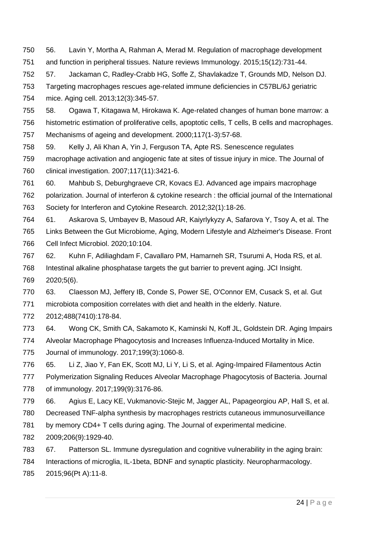- <span id="page-23-0"></span> 56. Lavin Y, Mortha A, Rahman A, Merad M. Regulation of macrophage development and function in peripheral tissues. Nature reviews Immunology. 2015;15(12):731-44.
- <span id="page-23-1"></span> 57. Jackaman C, Radley-Crabb HG, Soffe Z, Shavlakadze T, Grounds MD, Nelson DJ. Targeting macrophages rescues age-related immune deficiencies in C57BL/6J geriatric

mice. Aging cell. 2013;12(3):345-57.

- <span id="page-23-2"></span>58. Ogawa T, Kitagawa M, Hirokawa K. Age-related changes of human bone marrow: a
- histometric estimation of proliferative cells, apoptotic cells, T cells, B cells and macrophages. Mechanisms of ageing and development. 2000;117(1-3):57-68.
- <span id="page-23-3"></span> 59. Kelly J, Ali Khan A, Yin J, Ferguson TA, Apte RS. Senescence regulates macrophage activation and angiogenic fate at sites of tissue injury in mice. The Journal of clinical investigation. 2007;117(11):3421-6.

<span id="page-23-4"></span> 60. Mahbub S, Deburghgraeve CR, Kovacs EJ. Advanced age impairs macrophage polarization. Journal of interferon & cytokine research : the official journal of the International Society for Interferon and Cytokine Research. 2012;32(1):18-26.

- <span id="page-23-5"></span> 61. Askarova S, Umbayev B, Masoud AR, Kaiyrlykyzy A, Safarova Y, Tsoy A, et al. The Links Between the Gut Microbiome, Aging, Modern Lifestyle and Alzheimer's Disease. Front Cell Infect Microbiol. 2020;10:104.
- <span id="page-23-6"></span> 62. Kuhn F, Adiliaghdam F, Cavallaro PM, Hamarneh SR, Tsurumi A, Hoda RS, et al. Intestinal alkaline phosphatase targets the gut barrier to prevent aging. JCI Insight.

2020;5(6).

<span id="page-23-7"></span> 63. Claesson MJ, Jeffery IB, Conde S, Power SE, O'Connor EM, Cusack S, et al. Gut microbiota composition correlates with diet and health in the elderly. Nature.

2012;488(7410):178-84.

- <span id="page-23-8"></span>64. Wong CK, Smith CA, Sakamoto K, Kaminski N, Koff JL, Goldstein DR. Aging Impairs
- Alveolar Macrophage Phagocytosis and Increases Influenza-Induced Mortality in Mice.
- Journal of immunology. 2017;199(3):1060-8.
- <span id="page-23-9"></span>65. Li Z, Jiao Y, Fan EK, Scott MJ, Li Y, Li S, et al. Aging-Impaired Filamentous Actin

 Polymerization Signaling Reduces Alveolar Macrophage Phagocytosis of Bacteria. Journal of immunology. 2017;199(9):3176-86.

<span id="page-23-10"></span>66. Agius E, Lacy KE, Vukmanovic-Stejic M, Jagger AL, Papageorgiou AP, Hall S, et al.

- Decreased TNF-alpha synthesis by macrophages restricts cutaneous immunosurveillance
- by memory CD4+ T cells during aging. The Journal of experimental medicine.
- 2009;206(9):1929-40.
- <span id="page-23-11"></span>67. Patterson SL. Immune dysregulation and cognitive vulnerability in the aging brain:

Interactions of microglia, IL-1beta, BDNF and synaptic plasticity. Neuropharmacology.

2015;96(Pt A):11-8.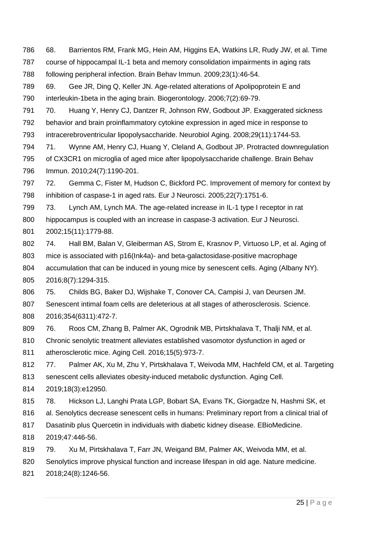- <span id="page-24-0"></span> 68. Barrientos RM, Frank MG, Hein AM, Higgins EA, Watkins LR, Rudy JW, et al. Time course of hippocampal IL-1 beta and memory consolidation impairments in aging rats following peripheral infection. Brain Behav Immun. 2009;23(1):46-54.
- 69. Gee JR, Ding Q, Keller JN. Age-related alterations of Apolipoprotein E and interleukin-1beta in the aging brain. Biogerontology. 2006;7(2):69-79.
- 70. Huang Y, Henry CJ, Dantzer R, Johnson RW, Godbout JP. Exaggerated sickness behavior and brain proinflammatory cytokine expression in aged mice in response to
- intracerebroventricular lipopolysaccharide. Neurobiol Aging. 2008;29(11):1744-53.
- 71. Wynne AM, Henry CJ, Huang Y, Cleland A, Godbout JP. Protracted downregulation of CX3CR1 on microglia of aged mice after lipopolysaccharide challenge. Brain Behav Immun. 2010;24(7):1190-201.
- <span id="page-24-1"></span> 72. Gemma C, Fister M, Hudson C, Bickford PC. Improvement of memory for context by inhibition of caspase-1 in aged rats. Eur J Neurosci. 2005;22(7):1751-6.
- <span id="page-24-2"></span> 73. Lynch AM, Lynch MA. The age-related increase in IL-1 type I receptor in rat hippocampus is coupled with an increase in caspase-3 activation. Eur J Neurosci. 2002;15(11):1779-88.
- <span id="page-24-3"></span> 74. Hall BM, Balan V, Gleiberman AS, Strom E, Krasnov P, Virtuoso LP, et al. Aging of mice is associated with p16(Ink4a)- and beta-galactosidase-positive macrophage accumulation that can be induced in young mice by senescent cells. Aging (Albany NY).

2016;8(7):1294-315.

- <span id="page-24-4"></span> 75. Childs BG, Baker DJ, Wijshake T, Conover CA, Campisi J, van Deursen JM. Senescent intimal foam cells are deleterious at all stages of atherosclerosis. Science. 2016;354(6311):472-7.
- <span id="page-24-5"></span>76. Roos CM, Zhang B, Palmer AK, Ogrodnik MB, Pirtskhalava T, Thalji NM, et al.
- Chronic senolytic treatment alleviates established vasomotor dysfunction in aged or
- atherosclerotic mice. Aging Cell. 2016;15(5):973-7.
- <span id="page-24-6"></span> 77. Palmer AK, Xu M, Zhu Y, Pirtskhalava T, Weivoda MM, Hachfeld CM, et al. Targeting senescent cells alleviates obesity-induced metabolic dysfunction. Aging Cell.
- 2019;18(3):e12950.
- <span id="page-24-7"></span>78. Hickson LJ, Langhi Prata LGP, Bobart SA, Evans TK, Giorgadze N, Hashmi SK, et
- al. Senolytics decrease senescent cells in humans: Preliminary report from a clinical trial of
- Dasatinib plus Quercetin in individuals with diabetic kidney disease. EBioMedicine.
- 2019;47:446-56.
- <span id="page-24-8"></span>79. Xu M, Pirtskhalava T, Farr JN, Weigand BM, Palmer AK, Weivoda MM, et al.
- Senolytics improve physical function and increase lifespan in old age. Nature medicine.
- 2018;24(8):1246-56.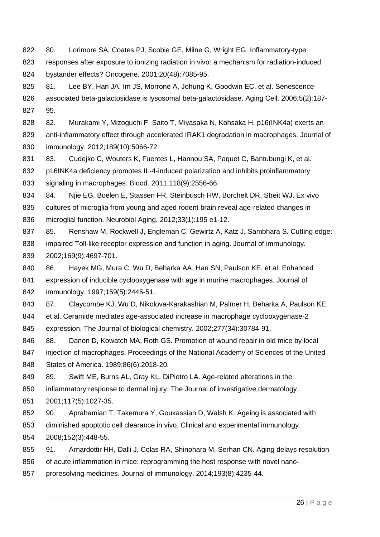- <span id="page-25-0"></span>80. Lorimore SA, Coates PJ, Scobie GE, Milne G, Wright EG. Inflammatory-type
- responses after exposure to ionizing radiation in vivo: a mechanism for radiation-induced bystander effects? Oncogene. 2001;20(48):7085-95.
- <span id="page-25-1"></span>825 81. Lee BY, Han JA, Im JS, Morrone A, Johung K, Goodwin EC, et al. Senescence- associated beta-galactosidase is lysosomal beta-galactosidase. Aging Cell. 2006;5(2):187- 95.
- <span id="page-25-2"></span> 82. Murakami Y, Mizoguchi F, Saito T, Miyasaka N, Kohsaka H. p16(INK4a) exerts an 829 anti-inflammatory effect through accelerated IRAK1 degradation in macrophages. Journal of immunology. 2012;189(10):5066-72.
- <span id="page-25-3"></span>831 83. Cudejko C, Wouters K, Fuentes L, Hannou SA, Paquet C, Bantubungi K, et al. p16INK4a deficiency promotes IL-4-induced polarization and inhibits proinflammatory signaling in macrophages. Blood. 2011;118(9):2556-66.
- <span id="page-25-4"></span>834 84. Nije EG, Boelen E, Stassen FR, Steinbusch HW, Borchelt DR, Streit WJ. Ex vivo cultures of microglia from young and aged rodent brain reveal age-related changes in microglial function. Neurobiol Aging. 2012;33(1):195 e1-12.
- <span id="page-25-5"></span>837 85. Renshaw M, Rockwell J, Engleman C, Gewirtz A, Katz J, Sambhara S. Cutting edge: impaired Toll-like receptor expression and function in aging. Journal of immunology. 2002;169(9):4697-701.
- <span id="page-25-6"></span>86. Hayek MG, Mura C, Wu D, Beharka AA, Han SN, Paulson KE, et al. Enhanced
- expression of inducible cyclooxygenase with age in murine macrophages. Journal of immunology. 1997;159(5):2445-51.
- <span id="page-25-7"></span>87. Claycombe KJ, Wu D, Nikolova-Karakashian M, Palmer H, Beharka A, Paulson KE,
- et al. Ceramide mediates age-associated increase in macrophage cyclooxygenase-2
- expression. The Journal of biological chemistry. 2002;277(34):30784-91.
- <span id="page-25-8"></span>88. Danon D, Kowatch MA, Roth GS. Promotion of wound repair in old mice by local
- injection of macrophages. Proceedings of the National Academy of Sciences of the United States of America. 1989;86(6):2018-20.
- 89. Swift ME, Burns AL, Gray KL, DiPietro LA. Age-related alterations in the
- inflammatory response to dermal injury. The Journal of investigative dermatology.
- 2001;117(5):1027-35.
- <span id="page-25-9"></span>90. Aprahamian T, Takemura Y, Goukassian D, Walsh K. Ageing is associated with
- diminished apoptotic cell clearance in vivo. Clinical and experimental immunology.
- 2008;152(3):448-55.
- <span id="page-25-10"></span>91. Arnardottir HH, Dalli J, Colas RA, Shinohara M, Serhan CN. Aging delays resolution
- of acute inflammation in mice: reprogramming the host response with novel nano-
- proresolving medicines. Journal of immunology. 2014;193(8):4235-44.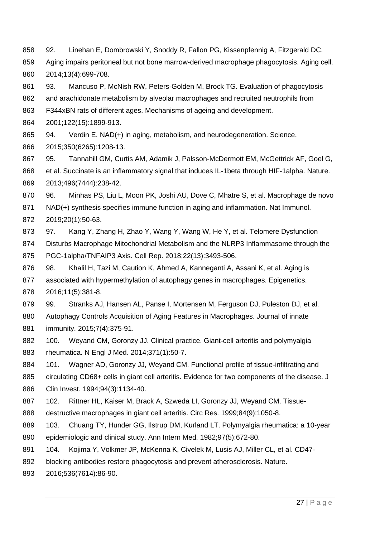- <span id="page-26-0"></span>92. Linehan E, Dombrowski Y, Snoddy R, Fallon PG, Kissenpfennig A, Fitzgerald DC.
- Aging impairs peritoneal but not bone marrow-derived macrophage phagocytosis. Aging cell. 2014;13(4):699-708.
- <span id="page-26-1"></span>93. Mancuso P, McNish RW, Peters-Golden M, Brock TG. Evaluation of phagocytosis
- and arachidonate metabolism by alveolar macrophages and recruited neutrophils from
- F344xBN rats of different ages. Mechanisms of ageing and development.
- 2001;122(15):1899-913.
- <span id="page-26-2"></span>94. Verdin E. NAD(+) in aging, metabolism, and neurodegeneration. Science.
- 2015;350(6265):1208-13.
- <span id="page-26-3"></span> 95. Tannahill GM, Curtis AM, Adamik J, Palsson-McDermott EM, McGettrick AF, Goel G, et al. Succinate is an inflammatory signal that induces IL-1beta through HIF-1alpha. Nature. 2013;496(7444):238-42.
- <span id="page-26-4"></span>96. Minhas PS, Liu L, Moon PK, Joshi AU, Dove C, Mhatre S, et al. Macrophage de novo
- NAD(+) synthesis specifies immune function in aging and inflammation. Nat Immunol.
- 2019;20(1):50-63.
- <span id="page-26-5"></span>97. Kang Y, Zhang H, Zhao Y, Wang Y, Wang W, He Y, et al. Telomere Dysfunction
- Disturbs Macrophage Mitochondrial Metabolism and the NLRP3 Inflammasome through the PGC-1alpha/TNFAIP3 Axis. Cell Rep. 2018;22(13):3493-506.
- <span id="page-26-6"></span> 98. Khalil H, Tazi M, Caution K, Ahmed A, Kanneganti A, Assani K, et al. Aging is associated with hypermethylation of autophagy genes in macrophages. Epigenetics.
- 2016;11(5):381-8.
- <span id="page-26-7"></span> 99. Stranks AJ, Hansen AL, Panse I, Mortensen M, Ferguson DJ, Puleston DJ, et al. Autophagy Controls Acquisition of Aging Features in Macrophages. Journal of innate immunity. 2015;7(4):375-91.
- <span id="page-26-8"></span> 100. Weyand CM, Goronzy JJ. Clinical practice. Giant-cell arteritis and polymyalgia rheumatica. N Engl J Med. 2014;371(1):50-7.
- <span id="page-26-9"></span>884 101. Wagner AD, Goronzy JJ, Weyand CM. Functional profile of tissue-infiltrating and
- 885 circulating CD68+ cells in giant cell arteritis. Evidence for two components of the disease. J Clin Invest. 1994;94(3):1134-40.
- <span id="page-26-10"></span>102. Rittner HL, Kaiser M, Brack A, Szweda LI, Goronzy JJ, Weyand CM. Tissue-
- destructive macrophages in giant cell arteritis. Circ Res. 1999;84(9):1050-8.
- <span id="page-26-11"></span> 103. Chuang TY, Hunder GG, Ilstrup DM, Kurland LT. Polymyalgia rheumatica: a 10-year epidemiologic and clinical study. Ann Intern Med. 1982;97(5):672-80.
- <span id="page-26-12"></span>891 104. Kojima Y, Volkmer JP, McKenna K, Civelek M, Lusis AJ, Miller CL, et al. CD47-
- blocking antibodies restore phagocytosis and prevent atherosclerosis. Nature.
- 2016;536(7614):86-90.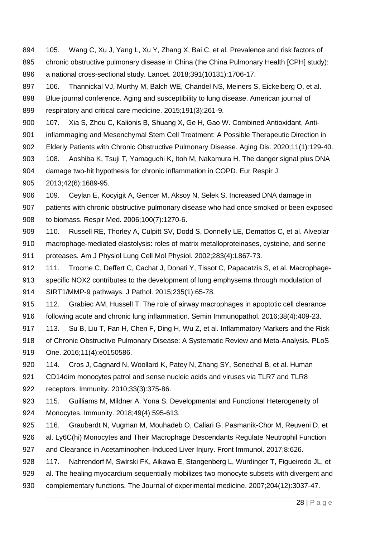- <span id="page-27-0"></span> 105. Wang C, Xu J, Yang L, Xu Y, Zhang X, Bai C, et al. Prevalence and risk factors of chronic obstructive pulmonary disease in China (the China Pulmonary Health [CPH] study): a national cross-sectional study. Lancet. 2018;391(10131):1706-17.
- 106. Thannickal VJ, Murthy M, Balch WE, Chandel NS, Meiners S, Eickelberg O, et al.
- Blue journal conference. Aging and susceptibility to lung disease. American journal of respiratory and critical care medicine. 2015;191(3):261-9.
- 107. Xia S, Zhou C, Kalionis B, Shuang X, Ge H, Gao W. Combined Antioxidant, Anti-
- inflammaging and Mesenchymal Stem Cell Treatment: A Possible Therapeutic Direction in
- 902 Elderly Patients with Chronic Obstructive Pulmonary Disease. Aging Dis. 2020;11(1):129-40.
- <span id="page-27-1"></span>108. Aoshiba K, Tsuji T, Yamaguchi K, Itoh M, Nakamura H. The danger signal plus DNA
- damage two-hit hypothesis for chronic inflammation in COPD. Eur Respir J.
- 2013;42(6):1689-95.
- <span id="page-27-2"></span> 109. Ceylan E, Kocyigit A, Gencer M, Aksoy N, Selek S. Increased DNA damage in patients with chronic obstructive pulmonary disease who had once smoked or been exposed to biomass. Respir Med. 2006;100(7):1270-6.
- <span id="page-27-3"></span> 110. Russell RE, Thorley A, Culpitt SV, Dodd S, Donnelly LE, Demattos C, et al. Alveolar macrophage-mediated elastolysis: roles of matrix metalloproteinases, cysteine, and serine proteases. Am J Physiol Lung Cell Mol Physiol. 2002;283(4):L867-73.
- <span id="page-27-4"></span>912 111. Trocme C, Deffert C, Cachat J, Donati Y, Tissot C, Papacatzis S, et al. Macrophage-
- specific NOX2 contributes to the development of lung emphysema through modulation of SIRT1/MMP-9 pathways. J Pathol. 2015;235(1):65-78.
- <span id="page-27-5"></span> 112. Grabiec AM, Hussell T. The role of airway macrophages in apoptotic cell clearance following acute and chronic lung inflammation. Semin Immunopathol. 2016;38(4):409-23.
- <span id="page-27-6"></span> 113. Su B, Liu T, Fan H, Chen F, Ding H, Wu Z, et al. Inflammatory Markers and the Risk of Chronic Obstructive Pulmonary Disease: A Systematic Review and Meta-Analysis. PLoS One. 2016;11(4):e0150586.
- <span id="page-27-7"></span>114. Cros J, Cagnard N, Woollard K, Patey N, Zhang SY, Senechal B, et al. Human
- CD14dim monocytes patrol and sense nucleic acids and viruses via TLR7 and TLR8 receptors. Immunity. 2010;33(3):375-86.
- 115. Guilliams M, Mildner A, Yona S. Developmental and Functional Heterogeneity of Monocytes. Immunity. 2018;49(4):595-613.
- 116. Graubardt N, Vugman M, Mouhadeb O, Caliari G, Pasmanik-Chor M, Reuveni D, et al. Ly6C(hi) Monocytes and Their Macrophage Descendants Regulate Neutrophil Function
- and Clearance in Acetaminophen-Induced Liver Injury. Front Immunol. 2017;8:626.
- 117. Nahrendorf M, Swirski FK, Aikawa E, Stangenberg L, Wurdinger T, Figueiredo JL, et 929 al. The healing myocardium sequentially mobilizes two monocyte subsets with divergent and 930 complementary functions. The Journal of experimental medicine. 2007;204(12):3037-47.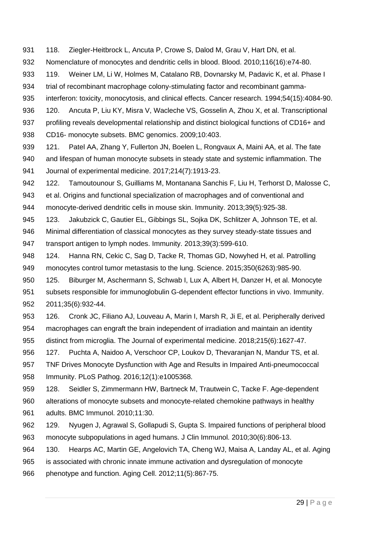- <span id="page-28-0"></span>931 118. Ziegler-Heitbrock L, Ancuta P, Crowe S, Dalod M, Grau V, Hart DN, et al. Nomenclature of monocytes and dendritic cells in blood. Blood. 2010;116(16):e74-80.
- <span id="page-28-1"></span>933 119. Weiner LM, Li W, Holmes M, Catalano RB, Dovnarsky M, Padavic K, et al. Phase I trial of recombinant macrophage colony-stimulating factor and recombinant gamma-
- interferon: toxicity, monocytosis, and clinical effects. Cancer research. 1994;54(15):4084-90.
- <span id="page-28-2"></span> 120. Ancuta P, Liu KY, Misra V, Wacleche VS, Gosselin A, Zhou X, et al. Transcriptional 937 profiling reveals developmental relationship and distinct biological functions of CD16+ and CD16- monocyte subsets. BMC genomics. 2009;10:403.
- <span id="page-28-3"></span> 121. Patel AA, Zhang Y, Fullerton JN, Boelen L, Rongvaux A, Maini AA, et al. The fate and lifespan of human monocyte subsets in steady state and systemic inflammation. The Journal of experimental medicine. 2017;214(7):1913-23.
- <span id="page-28-4"></span>942 122. Tamoutounour S, Guilliams M, Montanana Sanchis F, Liu H, Terhorst D, Malosse C, et al. Origins and functional specialization of macrophages and of conventional and monocyte-derived dendritic cells in mouse skin. Immunity. 2013;39(5):925-38.
- <span id="page-28-5"></span> 123. Jakubzick C, Gautier EL, Gibbings SL, Sojka DK, Schlitzer A, Johnson TE, et al. Minimal differentiation of classical monocytes as they survey steady-state tissues and transport antigen to lymph nodes. Immunity. 2013;39(3):599-610.
- <span id="page-28-6"></span> 124. Hanna RN, Cekic C, Sag D, Tacke R, Thomas GD, Nowyhed H, et al. Patrolling monocytes control tumor metastasis to the lung. Science. 2015;350(6263):985-90.
- <span id="page-28-7"></span> 125. Biburger M, Aschermann S, Schwab I, Lux A, Albert H, Danzer H, et al. Monocyte subsets responsible for immunoglobulin G-dependent effector functions in vivo. Immunity. 2011;35(6):932-44.
- <span id="page-28-8"></span> 126. Cronk JC, Filiano AJ, Louveau A, Marin I, Marsh R, Ji E, et al. Peripherally derived macrophages can engraft the brain independent of irradiation and maintain an identity distinct from microglia. The Journal of experimental medicine. 2018;215(6):1627-47.
- <span id="page-28-9"></span> 127. Puchta A, Naidoo A, Verschoor CP, Loukov D, Thevaranjan N, Mandur TS, et al. TNF Drives Monocyte Dysfunction with Age and Results in Impaired Anti-pneumococcal Immunity. PLoS Pathog. 2016;12(1):e1005368.
- <span id="page-28-10"></span> 128. Seidler S, Zimmermann HW, Bartneck M, Trautwein C, Tacke F. Age-dependent alterations of monocyte subsets and monocyte-related chemokine pathways in healthy adults. BMC Immunol. 2010;11:30.
- <span id="page-28-11"></span> 129. Nyugen J, Agrawal S, Gollapudi S, Gupta S. Impaired functions of peripheral blood monocyte subpopulations in aged humans. J Clin Immunol. 2010;30(6):806-13.
- <span id="page-28-12"></span> 130. Hearps AC, Martin GE, Angelovich TA, Cheng WJ, Maisa A, Landay AL, et al. Aging is associated with chronic innate immune activation and dysregulation of monocyte phenotype and function. Aging Cell. 2012;11(5):867-75.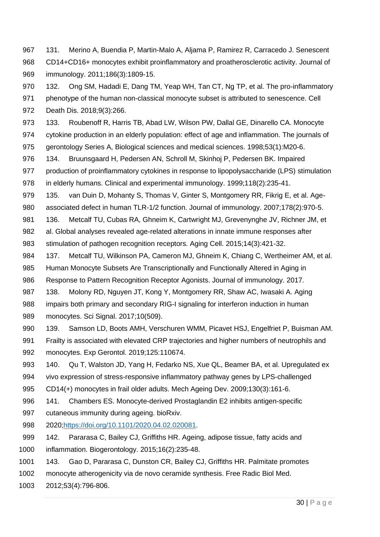- <span id="page-29-0"></span> 131. Merino A, Buendia P, Martin-Malo A, Aljama P, Ramirez R, Carracedo J. Senescent CD14+CD16+ monocytes exhibit proinflammatory and proatherosclerotic activity. Journal of immunology. 2011;186(3):1809-15.
- <span id="page-29-1"></span> 132. Ong SM, Hadadi E, Dang TM, Yeap WH, Tan CT, Ng TP, et al. The pro-inflammatory phenotype of the human non-classical monocyte subset is attributed to senescence. Cell Death Dis. 2018;9(3):266.
- <span id="page-29-2"></span> 133. Roubenoff R, Harris TB, Abad LW, Wilson PW, Dallal GE, Dinarello CA. Monocyte cytokine production in an elderly population: effect of age and inflammation. The journals of
- gerontology Series A, Biological sciences and medical sciences. 1998;53(1):M20-6.
- <span id="page-29-3"></span> 134. Bruunsgaard H, Pedersen AN, Schroll M, Skinhoj P, Pedersen BK. Impaired production of proinflammatory cytokines in response to lipopolysaccharide (LPS) stimulation in elderly humans. Clinical and experimental immunology. 1999;118(2):235-41.
- <span id="page-29-4"></span> 135. van Duin D, Mohanty S, Thomas V, Ginter S, Montgomery RR, Fikrig E, et al. Age-associated defect in human TLR-1/2 function. Journal of immunology. 2007;178(2):970-5.
- <span id="page-29-5"></span>981 136. Metcalf TU, Cubas RA, Ghneim K, Cartwright MJ, Grevenynghe JV, Richner JM, et al. Global analyses revealed age-related alterations in innate immune responses after stimulation of pathogen recognition receptors. Aging Cell. 2015;14(3):421-32.
- <span id="page-29-6"></span> 137. Metcalf TU, Wilkinson PA, Cameron MJ, Ghneim K, Chiang C, Wertheimer AM, et al. Human Monocyte Subsets Are Transcriptionally and Functionally Altered in Aging in
- Response to Pattern Recognition Receptor Agonists. Journal of immunology. 2017.
- <span id="page-29-7"></span> 138. Molony RD, Nguyen JT, Kong Y, Montgomery RR, Shaw AC, Iwasaki A. Aging impairs both primary and secondary RIG-I signaling for interferon induction in human monocytes. Sci Signal. 2017;10(509).
- <span id="page-29-8"></span> 139. Samson LD, Boots AMH, Verschuren WMM, Picavet HSJ, Engelfriet P, Buisman AM. Frailty is associated with elevated CRP trajectories and higher numbers of neutrophils and monocytes. Exp Gerontol. 2019;125:110674.
- <span id="page-29-9"></span> 140. Qu T, Walston JD, Yang H, Fedarko NS, Xue QL, Beamer BA, et al. Upregulated ex vivo expression of stress-responsive inflammatory pathway genes by LPS-challenged
- CD14(+) monocytes in frail older adults. Mech Ageing Dev. 2009;130(3):161-6.
- <span id="page-29-10"></span>141. Chambers ES. Monocyte-derived Prostaglandin E2 inhibits antigen-specific
- cutaneous immunity during ageing. bioRxiv.
- 2020[;https://doi.org/10.1101/2020.04.02.020081.](https://doi.org/10.1101/2020.04.02.020081)
- <span id="page-29-11"></span> 142. Pararasa C, Bailey CJ, Griffiths HR. Ageing, adipose tissue, fatty acids and inflammation. Biogerontology. 2015;16(2):235-48.
- <span id="page-29-12"></span>143. Gao D, Pararasa C, Dunston CR, Bailey CJ, Griffiths HR. Palmitate promotes
- monocyte atherogenicity via de novo ceramide synthesis. Free Radic Biol Med.
- 2012;53(4):796-806.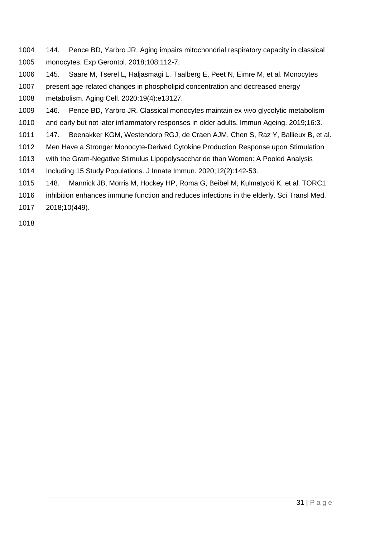- <span id="page-30-0"></span> 144. Pence BD, Yarbro JR. Aging impairs mitochondrial respiratory capacity in classical monocytes. Exp Gerontol. 2018;108:112-7.
- <span id="page-30-1"></span> 145. Saare M, Tserel L, Haljasmagi L, Taalberg E, Peet N, Eimre M, et al. Monocytes present age-related changes in phospholipid concentration and decreased energy metabolism. Aging Cell. 2020;19(4):e13127.
- <span id="page-30-2"></span>146. Pence BD, Yarbro JR. Classical monocytes maintain ex vivo glycolytic metabolism
- and early but not later inflammatory responses in older adults. Immun Ageing. 2019;16:3.
- <span id="page-30-3"></span>147. Beenakker KGM, Westendorp RGJ, de Craen AJM, Chen S, Raz Y, Ballieux B, et al.
- Men Have a Stronger Monocyte-Derived Cytokine Production Response upon Stimulation
- with the Gram-Negative Stimulus Lipopolysaccharide than Women: A Pooled Analysis

Including 15 Study Populations. J Innate Immun. 2020;12(2):142-53.

- <span id="page-30-4"></span>148. Mannick JB, Morris M, Hockey HP, Roma G, Beibel M, Kulmatycki K, et al. TORC1
- inhibition enhances immune function and reduces infections in the elderly. Sci Transl Med.

2018;10(449).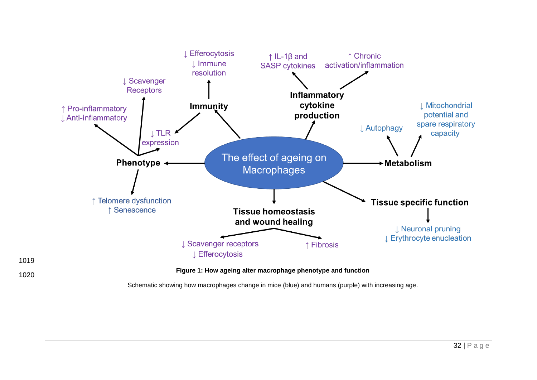



**Figure 1: How ageing alter macrophage phenotype and function**

Schematic showing how macrophages change in mice (blue) and humans (purple) with increasing age.